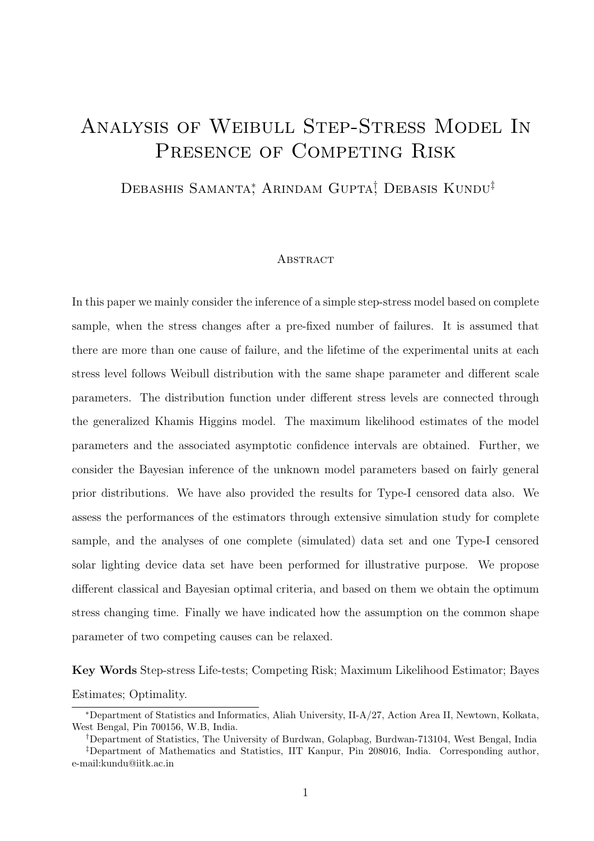# Analysis of Weibull Step-Stress Model In PRESENCE OF COMPETING RISK

Debashis Samanta<sup>\*</sup>, Arindam Gupta<sup>†</sup>, Debasis Kundu<sup>‡</sup>

#### **ABSTRACT**

In this paper we mainly consider the inference of a simple step-stress model based on complete sample, when the stress changes after a pre-fixed number of failures. It is assumed that there are more than one cause of failure, and the lifetime of the experimental units at each stress level follows Weibull distribution with the same shape parameter and different scale parameters. The distribution function under different stress levels are connected through the generalized Khamis Higgins model. The maximum likelihood estimates of the model parameters and the associated asymptotic confidence intervals are obtained. Further, we consider the Bayesian inference of the unknown model parameters based on fairly general prior distributions. We have also provided the results for Type-I censored data also. We assess the performances of the estimators through extensive simulation study for complete sample, and the analyses of one complete (simulated) data set and one Type-I censored solar lighting device data set have been performed for illustrative purpose. We propose different classical and Bayesian optimal criteria, and based on them we obtain the optimum stress changing time. Finally we have indicated how the assumption on the common shape parameter of two competing causes can be relaxed.

Key Words Step-stress Life-tests; Competing Risk; Maximum Likelihood Estimator; Bayes Estimates; Optimality.

<sup>∗</sup>Department of Statistics and Informatics, Aliah University, II-A/27, Action Area II, Newtown, Kolkata, West Bengal, Pin 700156, W.B, India.

<sup>†</sup>Department of Statistics, The University of Burdwan, Golapbag, Burdwan-713104, West Bengal, India

<sup>‡</sup>Department of Mathematics and Statistics, IIT Kanpur, Pin 208016, India. Corresponding author, e-mail:kundu@iitk.ac.in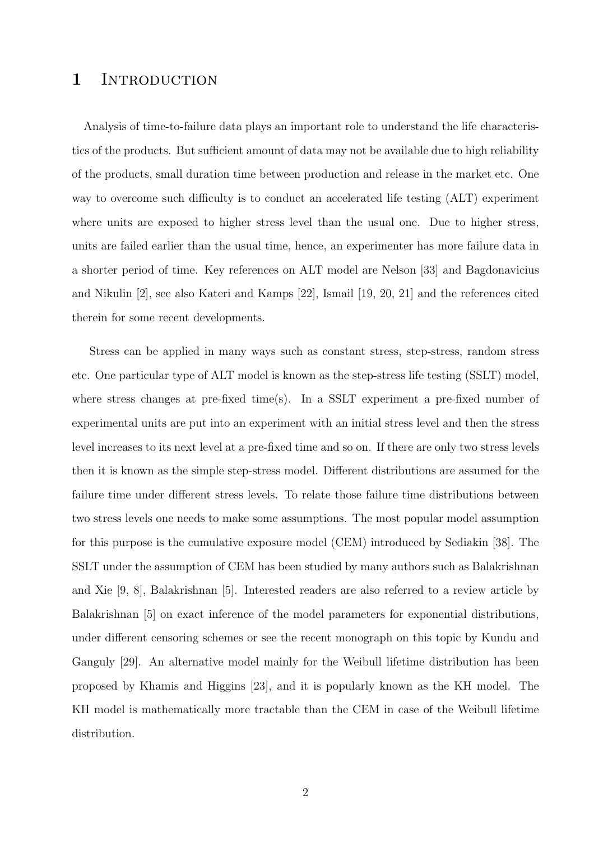# 1 INTRODUCTION

Analysis of time-to-failure data plays an important role to understand the life characteristics of the products. But sufficient amount of data may not be available due to high reliability of the products, small duration time between production and release in the market etc. One way to overcome such difficulty is to conduct an accelerated life testing (ALT) experiment where units are exposed to higher stress level than the usual one. Due to higher stress, units are failed earlier than the usual time, hence, an experimenter has more failure data in a shorter period of time. Key references on ALT model are Nelson [33] and Bagdonavicius and Nikulin [2], see also Kateri and Kamps [22], Ismail [19, 20, 21] and the references cited therein for some recent developments.

Stress can be applied in many ways such as constant stress, step-stress, random stress etc. One particular type of ALT model is known as the step-stress life testing (SSLT) model, where stress changes at pre-fixed time(s). In a SSLT experiment a pre-fixed number of experimental units are put into an experiment with an initial stress level and then the stress level increases to its next level at a pre-fixed time and so on. If there are only two stress levels then it is known as the simple step-stress model. Different distributions are assumed for the failure time under different stress levels. To relate those failure time distributions between two stress levels one needs to make some assumptions. The most popular model assumption for this purpose is the cumulative exposure model (CEM) introduced by Sediakin [38]. The SSLT under the assumption of CEM has been studied by many authors such as Balakrishnan and Xie [9, 8], Balakrishnan [5]. Interested readers are also referred to a review article by Balakrishnan [5] on exact inference of the model parameters for exponential distributions, under different censoring schemes or see the recent monograph on this topic by Kundu and Ganguly [29]. An alternative model mainly for the Weibull lifetime distribution has been proposed by Khamis and Higgins [23], and it is popularly known as the KH model. The KH model is mathematically more tractable than the CEM in case of the Weibull lifetime distribution.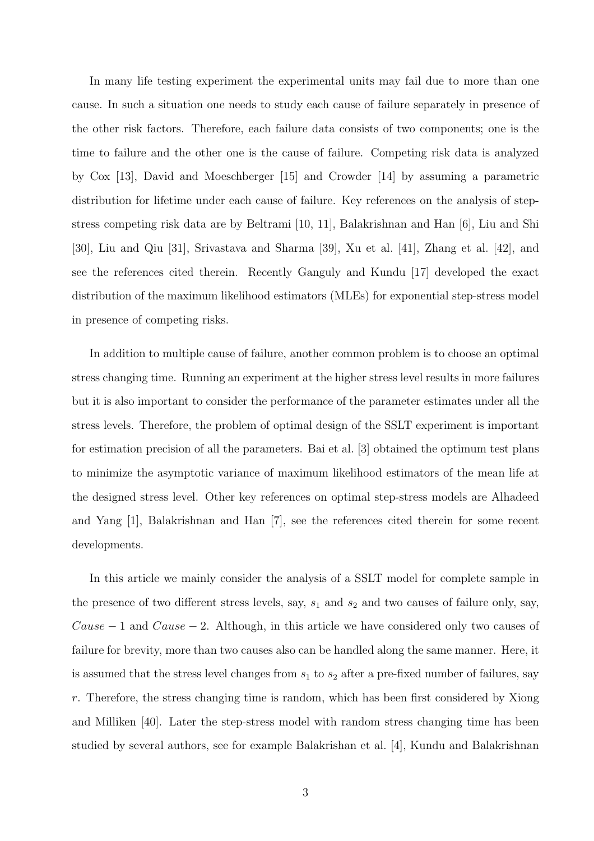In many life testing experiment the experimental units may fail due to more than one cause. In such a situation one needs to study each cause of failure separately in presence of the other risk factors. Therefore, each failure data consists of two components; one is the time to failure and the other one is the cause of failure. Competing risk data is analyzed by Cox [13], David and Moeschberger [15] and Crowder [14] by assuming a parametric distribution for lifetime under each cause of failure. Key references on the analysis of stepstress competing risk data are by Beltrami [10, 11], Balakrishnan and Han [6], Liu and Shi [30], Liu and Qiu [31], Srivastava and Sharma [39], Xu et al. [41], Zhang et al. [42], and see the references cited therein. Recently Ganguly and Kundu [17] developed the exact distribution of the maximum likelihood estimators (MLEs) for exponential step-stress model in presence of competing risks.

In addition to multiple cause of failure, another common problem is to choose an optimal stress changing time. Running an experiment at the higher stress level results in more failures but it is also important to consider the performance of the parameter estimates under all the stress levels. Therefore, the problem of optimal design of the SSLT experiment is important for estimation precision of all the parameters. Bai et al. [3] obtained the optimum test plans to minimize the asymptotic variance of maximum likelihood estimators of the mean life at the designed stress level. Other key references on optimal step-stress models are Alhadeed and Yang [1], Balakrishnan and Han [7], see the references cited therein for some recent developments.

In this article we mainly consider the analysis of a SSLT model for complete sample in the presence of two different stress levels, say,  $s_1$  and  $s_2$  and two causes of failure only, say, Cause  $-1$  and Cause  $-2$ . Although, in this article we have considered only two causes of failure for brevity, more than two causes also can be handled along the same manner. Here, it is assumed that the stress level changes from  $s_1$  to  $s_2$  after a pre-fixed number of failures, say r. Therefore, the stress changing time is random, which has been first considered by Xiong and Milliken [40]. Later the step-stress model with random stress changing time has been studied by several authors, see for example Balakrishan et al. [4], Kundu and Balakrishnan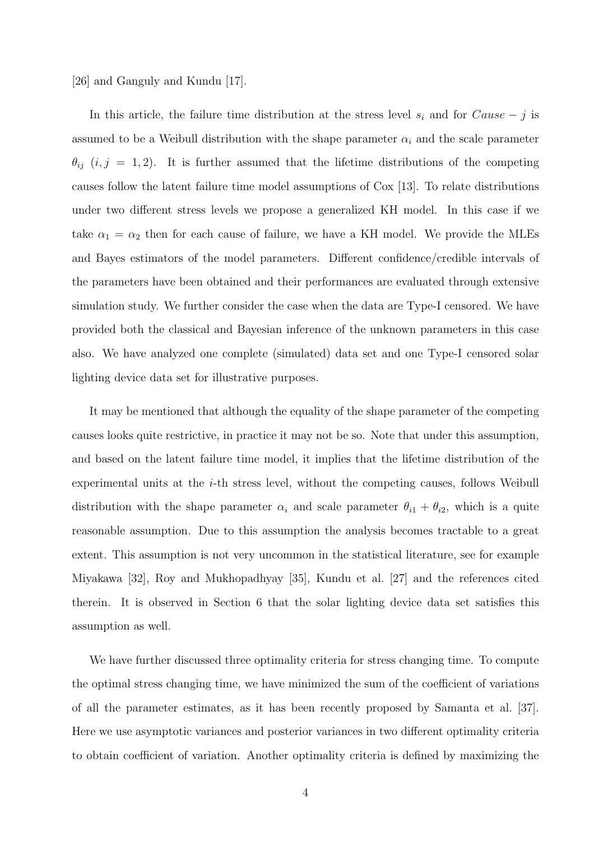#### [26] and Ganguly and Kundu [17].

In this article, the failure time distribution at the stress level  $s_i$  and for  $Cause - j$  is assumed to be a Weibull distribution with the shape parameter  $\alpha_i$  and the scale parameter  $\theta_{ij}$  (i, j = 1, 2). It is further assumed that the lifetime distributions of the competing causes follow the latent failure time model assumptions of Cox [13]. To relate distributions under two different stress levels we propose a generalized KH model. In this case if we take  $\alpha_1 = \alpha_2$  then for each cause of failure, we have a KH model. We provide the MLEs and Bayes estimators of the model parameters. Different confidence/credible intervals of the parameters have been obtained and their performances are evaluated through extensive simulation study. We further consider the case when the data are Type-I censored. We have provided both the classical and Bayesian inference of the unknown parameters in this case also. We have analyzed one complete (simulated) data set and one Type-I censored solar lighting device data set for illustrative purposes.

It may be mentioned that although the equality of the shape parameter of the competing causes looks quite restrictive, in practice it may not be so. Note that under this assumption, and based on the latent failure time model, it implies that the lifetime distribution of the experimental units at the  $i$ -th stress level, without the competing causes, follows Weibull distribution with the shape parameter  $\alpha_i$  and scale parameter  $\theta_{i1} + \theta_{i2}$ , which is a quite reasonable assumption. Due to this assumption the analysis becomes tractable to a great extent. This assumption is not very uncommon in the statistical literature, see for example Miyakawa [32], Roy and Mukhopadhyay [35], Kundu et al. [27] and the references cited therein. It is observed in Section 6 that the solar lighting device data set satisfies this assumption as well.

We have further discussed three optimality criteria for stress changing time. To compute the optimal stress changing time, we have minimized the sum of the coefficient of variations of all the parameter estimates, as it has been recently proposed by Samanta et al. [37]. Here we use asymptotic variances and posterior variances in two different optimality criteria to obtain coefficient of variation. Another optimality criteria is defined by maximizing the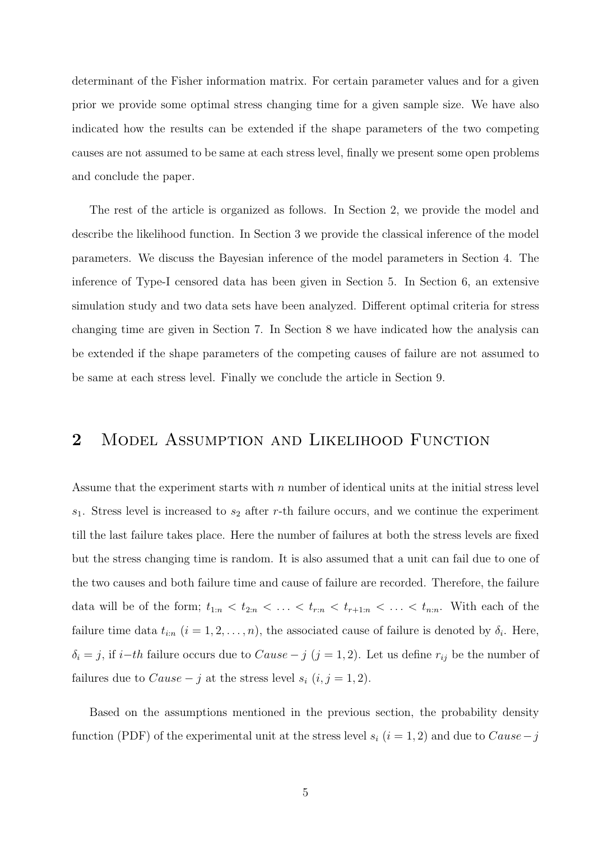determinant of the Fisher information matrix. For certain parameter values and for a given prior we provide some optimal stress changing time for a given sample size. We have also indicated how the results can be extended if the shape parameters of the two competing causes are not assumed to be same at each stress level, finally we present some open problems and conclude the paper.

The rest of the article is organized as follows. In Section 2, we provide the model and describe the likelihood function. In Section 3 we provide the classical inference of the model parameters. We discuss the Bayesian inference of the model parameters in Section 4. The inference of Type-I censored data has been given in Section 5. In Section 6, an extensive simulation study and two data sets have been analyzed. Different optimal criteria for stress changing time are given in Section 7. In Section 8 we have indicated how the analysis can be extended if the shape parameters of the competing causes of failure are not assumed to be same at each stress level. Finally we conclude the article in Section 9.

# 2 MODEL ASSUMPTION AND LIKELIHOOD FUNCTION

Assume that the experiment starts with  $n$  number of identical units at the initial stress level  $s_1$ . Stress level is increased to  $s_2$  after r-th failure occurs, and we continue the experiment till the last failure takes place. Here the number of failures at both the stress levels are fixed but the stress changing time is random. It is also assumed that a unit can fail due to one of the two causes and both failure time and cause of failure are recorded. Therefore, the failure data will be of the form;  $t_{1:n} < t_{2:n} < \ldots < t_{r:n} < t_{r+1:n} < \ldots < t_{n:n}$ . With each of the failure time data  $t_{i:n}$   $(i = 1, 2, \ldots, n)$ , the associated cause of failure is denoted by  $\delta_i$ . Here,  $\delta_i = j$ , if  $i-th$  failure occurs due to  $Cause - j$   $(j = 1, 2)$ . Let us define  $r_{ij}$  be the number of failures due to  $Cause - j$  at the stress level  $s_i$   $(i, j = 1, 2)$ .

Based on the assumptions mentioned in the previous section, the probability density function (PDF) of the experimental unit at the stress level  $s_i$  (i = 1, 2) and due to Cause – j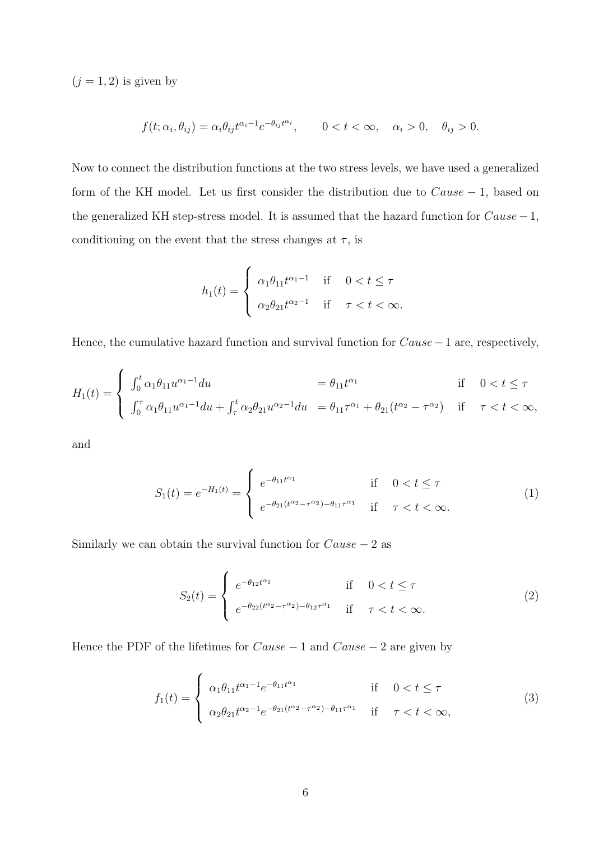$(j = 1, 2)$  is given by

$$
f(t; \alpha_i, \theta_{ij}) = \alpha_i \theta_{ij} t^{\alpha_i - 1} e^{-\theta_{ij} t^{\alpha_i}}, \qquad 0 < t < \infty, \quad \alpha_i > 0, \quad \theta_{ij} > 0.
$$

Now to connect the distribution functions at the two stress levels, we have used a generalized form of the KH model. Let us first consider the distribution due to  $Cause - 1$ , based on the generalized KH step-stress model. It is assumed that the hazard function for  $Cause - 1$ , conditioning on the event that the stress changes at  $\tau$ , is

$$
h_1(t) = \begin{cases} \alpha_1 \theta_{11} t^{\alpha_1 - 1} & \text{if } 0 < t \le \tau \\ \alpha_2 \theta_{21} t^{\alpha_2 - 1} & \text{if } \tau < t < \infty. \end{cases}
$$

Hence, the cumulative hazard function and survival function for  $Cause -1$  are, respectively,

$$
H_1(t) = \begin{cases} \int_0^t \alpha_1 \theta_{11} u^{\alpha_1 - 1} du &= \theta_{11} t^{\alpha_1} & \text{if } 0 < t \le \tau \\ \int_0^{\tau} \alpha_1 \theta_{11} u^{\alpha_1 - 1} du + \int_{\tau}^t \alpha_2 \theta_{21} u^{\alpha_2 - 1} du &= \theta_{11} \tau^{\alpha_1} + \theta_{21} (t^{\alpha_2} - \tau^{\alpha_2}) & \text{if } \tau < t < \infty, \end{cases}
$$

and

$$
S_1(t) = e^{-H_1(t)} = \begin{cases} e^{-\theta_{11}t^{\alpha_1}} & \text{if } 0 < t \le \tau \\ e^{-\theta_{21}(t^{\alpha_2} - \tau^{\alpha_2}) - \theta_{11}\tau^{\alpha_1}} & \text{if } \tau < t < \infty. \end{cases}
$$
 (1)

Similarly we can obtain the survival function for  $Cause - 2$  as

$$
S_2(t) = \begin{cases} e^{-\theta_{12}t^{\alpha_1}} & \text{if } 0 < t \le \tau \\ e^{-\theta_{22}(t^{\alpha_2} - \tau^{\alpha_2}) - \theta_{12}\tau^{\alpha_1}} & \text{if } \tau < t < \infty. \end{cases}
$$
 (2)

Hence the PDF of the lifetimes for  $Cause - 1$  and  $Cause - 2$  are given by

$$
f_1(t) = \begin{cases} \alpha_1 \theta_{11} t^{\alpha_1 - 1} e^{-\theta_{11} t^{\alpha_1}} & \text{if } 0 < t \le \tau \\ \alpha_2 \theta_{21} t^{\alpha_2 - 1} e^{-\theta_{21} (t^{\alpha_2} - \tau^{\alpha_2}) - \theta_{11} \tau^{\alpha_1}} & \text{if } \tau < t < \infty, \end{cases}
$$
 (3)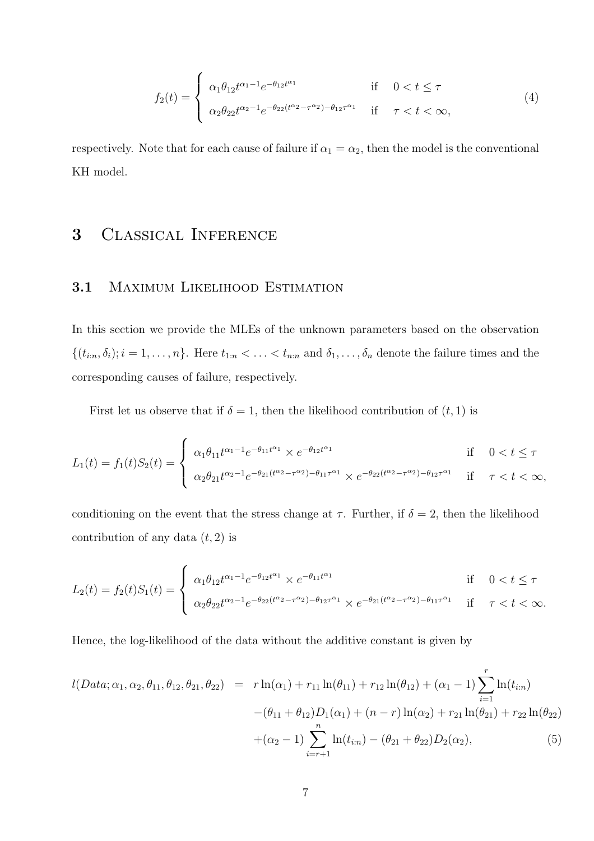$$
f_2(t) = \begin{cases} \alpha_1 \theta_{12} t^{\alpha_1 - 1} e^{-\theta_{12} t^{\alpha_1}} & \text{if } 0 < t \le \tau \\ \alpha_2 \theta_{22} t^{\alpha_2 - 1} e^{-\theta_{22} (t^{\alpha_2} - \tau^{\alpha_2}) - \theta_{12} \tau^{\alpha_1}} & \text{if } \tau < t < \infty, \end{cases}
$$
(4)

respectively. Note that for each cause of failure if  $\alpha_1 = \alpha_2$ , then the model is the conventional KH model.

# 3 Classical Inference

### 3.1 MAXIMUM LIKELIHOOD ESTIMATION

In this section we provide the MLEs of the unknown parameters based on the observation  $\{(t_{i:n}, \delta_i); i = 1, \ldots, n\}$ . Here  $t_{1:n} < \ldots < t_{n:n}$  and  $\delta_1, \ldots, \delta_n$  denote the failure times and the corresponding causes of failure, respectively.

First let us observe that if  $\delta = 1$ , then the likelihood contribution of  $(t, 1)$  is

$$
L_1(t) = f_1(t)S_2(t) = \begin{cases} \alpha_1 \theta_{11} t^{\alpha_1 - 1} e^{-\theta_{11} t^{\alpha_1}} \times e^{-\theta_{12} t^{\alpha_1}} & \text{if } 0 < t \le \tau \\ \alpha_2 \theta_{21} t^{\alpha_2 - 1} e^{-\theta_{21} (t^{\alpha_2} - \tau^{\alpha_2}) - \theta_{11} \tau^{\alpha_1}} \times e^{-\theta_{22} (t^{\alpha_2} - \tau^{\alpha_2}) - \theta_{12} \tau^{\alpha_1}} & \text{if } \tau < t < \infty, \end{cases}
$$

conditioning on the event that the stress change at  $\tau$ . Further, if  $\delta = 2$ , then the likelihood contribution of any data  $(t, 2)$  is

$$
L_2(t) = f_2(t)S_1(t) = \begin{cases} \alpha_1 \theta_{12} t^{\alpha_1 - 1} e^{-\theta_{12} t^{\alpha_1}} \times e^{-\theta_{11} t^{\alpha_1}} & \text{if } 0 < t \le \tau \\ \alpha_2 \theta_{22} t^{\alpha_2 - 1} e^{-\theta_{22} (t^{\alpha_2} - \tau^{\alpha_2}) - \theta_{12} \tau^{\alpha_1}} \times e^{-\theta_{21} (t^{\alpha_2} - \tau^{\alpha_2}) - \theta_{11} \tau^{\alpha_1}} & \text{if } \tau < t < \infty. \end{cases}
$$

Hence, the log-likelihood of the data without the additive constant is given by

$$
l(Data; \alpha_1, \alpha_2, \theta_{11}, \theta_{12}, \theta_{21}, \theta_{22}) = r \ln(\alpha_1) + r_{11} \ln(\theta_{11}) + r_{12} \ln(\theta_{12}) + (\alpha_1 - 1) \sum_{i=1}^r \ln(t_{i:n})
$$
  

$$
-(\theta_{11} + \theta_{12})D_1(\alpha_1) + (n - r) \ln(\alpha_2) + r_{21} \ln(\theta_{21}) + r_{22} \ln(\theta_{22})
$$
  

$$
+(\alpha_2 - 1) \sum_{i=r+1}^n \ln(t_{i:n}) - (\theta_{21} + \theta_{22})D_2(\alpha_2),
$$
 (5)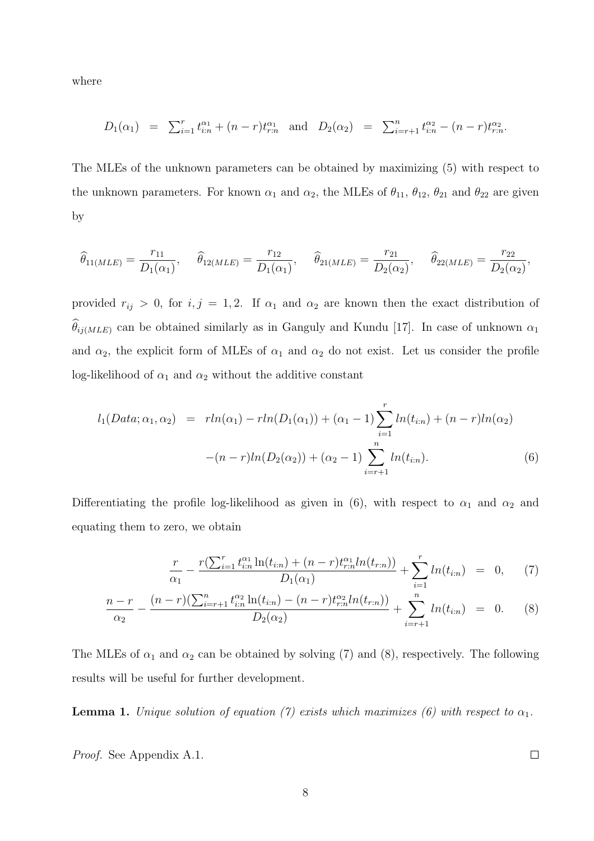where

$$
D_1(\alpha_1) = \sum_{i=1}^r t_{i:n}^{\alpha_1} + (n-r)t_{r:n}^{\alpha_1} \text{ and } D_2(\alpha_2) = \sum_{i=r+1}^n t_{i:n}^{\alpha_2} - (n-r)t_{r:n}^{\alpha_2}.
$$

The MLEs of the unknown parameters can be obtained by maximizing (5) with respect to the unknown parameters. For known  $\alpha_1$  and  $\alpha_2$ , the MLEs of  $\theta_{11}$ ,  $\theta_{12}$ ,  $\theta_{21}$  and  $\theta_{22}$  are given by

$$
\widehat{\theta}_{11(MLE)} = \frac{r_{11}}{D_1(\alpha_1)}, \quad \widehat{\theta}_{12(MLE)} = \frac{r_{12}}{D_1(\alpha_1)}, \quad \widehat{\theta}_{21(MLE)} = \frac{r_{21}}{D_2(\alpha_2)}, \quad \widehat{\theta}_{22(MLE)} = \frac{r_{22}}{D_2(\alpha_2)},
$$

provided  $r_{ij} > 0$ , for  $i, j = 1, 2$ . If  $\alpha_1$  and  $\alpha_2$  are known then the exact distribution of  $\theta_{ij(MLE)}$  can be obtained similarly as in Ganguly and Kundu [17]. In case of unknown  $\alpha_1$ and  $\alpha_2$ , the explicit form of MLEs of  $\alpha_1$  and  $\alpha_2$  do not exist. Let us consider the profile log-likelihood of  $\alpha_1$  and  $\alpha_2$  without the additive constant

$$
l_1(Data; \alpha_1, \alpha_2) = rln(\alpha_1) - rln(D_1(\alpha_1)) + (\alpha_1 - 1) \sum_{i=1}^r ln(t_{i:n}) + (n - r)ln(\alpha_2)
$$

$$
-(n - r)ln(D_2(\alpha_2)) + (\alpha_2 - 1) \sum_{i=r+1}^n ln(t_{i:n}). \tag{6}
$$

Differentiating the profile log-likelihood as given in (6), with respect to  $\alpha_1$  and  $\alpha_2$  and equating them to zero, we obtain

$$
\frac{r}{\alpha_1} - \frac{r(\sum_{i=1}^r t_{i:n}^{\alpha_1} \ln(t_{i:n}) + (n-r)t_{r:n}^{\alpha_1} ln(t_{r:n}))}{D_1(\alpha_1)} + \sum_{i=1}^r ln(t_{i:n}) = 0, \quad (7)
$$

$$
\frac{n-r}{\alpha_2} - \frac{(n-r)(\sum_{i=r+1}^n t_{i:n}^{\alpha_2} \ln(t_{i:n}) - (n-r)t_{r,n}^{\alpha_2} \ln(t_{r:n}))}{D_2(\alpha_2)} + \sum_{i=r+1}^n \ln(t_{i:n}) = 0.
$$
 (8)

The MLEs of  $\alpha_1$  and  $\alpha_2$  can be obtained by solving (7) and (8), respectively. The following results will be useful for further development.

**Lemma 1.** Unique solution of equation (7) exists which maximizes (6) with respect to  $\alpha_1$ .

Proof. See Appendix A.1.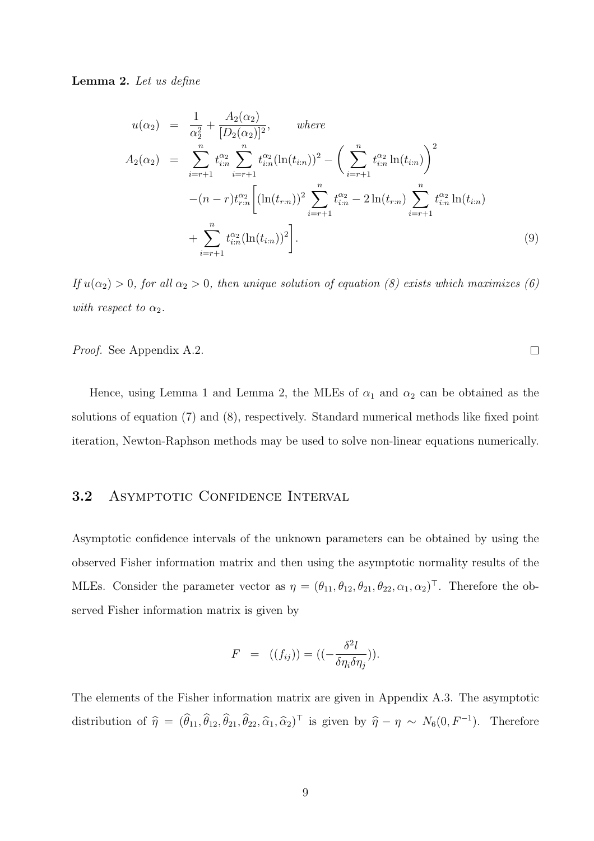Lemma 2. Let us define

$$
u(\alpha_2) = \frac{1}{\alpha_2^2} + \frac{A_2(\alpha_2)}{[D_2(\alpha_2)]^2}, \quad where
$$
  
\n
$$
A_2(\alpha_2) = \sum_{i=r+1}^n t_{i:n}^{\alpha_2} \sum_{i=r+1}^n t_{i:n}^{\alpha_2} (\ln(t_{i:n}))^2 - \left(\sum_{i=r+1}^n t_{i:n}^{\alpha_2} \ln(t_{i:n})\right)^2
$$
  
\n
$$
-(n-r)t_{r:n}^{\alpha_2} \left[ (\ln(t_{r:n}))^2 \sum_{i=r+1}^n t_{i:n}^{\alpha_2} - 2\ln(t_{r:n}) \sum_{i=r+1}^n t_{i:n}^{\alpha_2} \ln(t_{i:n}) + \sum_{i=r+1}^n t_{i:n}^{\alpha_2} (\ln(t_{i:n}))^2 \right].
$$
  
\n(9)

If  $u(\alpha_2) > 0$ , for all  $\alpha_2 > 0$ , then unique solution of equation (8) exists which maximizes (6) with respect to  $\alpha_2$ .

Proof. See Appendix A.2.

Hence, using Lemma 1 and Lemma 2, the MLEs of  $\alpha_1$  and  $\alpha_2$  can be obtained as the solutions of equation (7) and (8), respectively. Standard numerical methods like fixed point iteration, Newton-Raphson methods may be used to solve non-linear equations numerically.

### 3.2 ASYMPTOTIC CONFIDENCE INTERVAL

Asymptotic confidence intervals of the unknown parameters can be obtained by using the observed Fisher information matrix and then using the asymptotic normality results of the MLEs. Consider the parameter vector as  $\eta = (\theta_{11}, \theta_{12}, \theta_{21}, \theta_{22}, \alpha_1, \alpha_2)$ <sup>T</sup>. Therefore the observed Fisher information matrix is given by

$$
F = ((f_{ij})) = ((-\frac{\delta^2 l}{\delta \eta_i \delta \eta_j})).
$$

The elements of the Fisher information matrix are given in Appendix A.3. The asymptotic distribution of  $\hat{\eta} = (\hat{\theta}_{11}, \hat{\theta}_{12}, \hat{\theta}_{21}, \hat{\theta}_{22}, \hat{\alpha}_1, \hat{\alpha}_2)^\top$  is given by  $\hat{\eta} - \eta \sim N_6(0, F^{-1})$ . Therefore

 $\Box$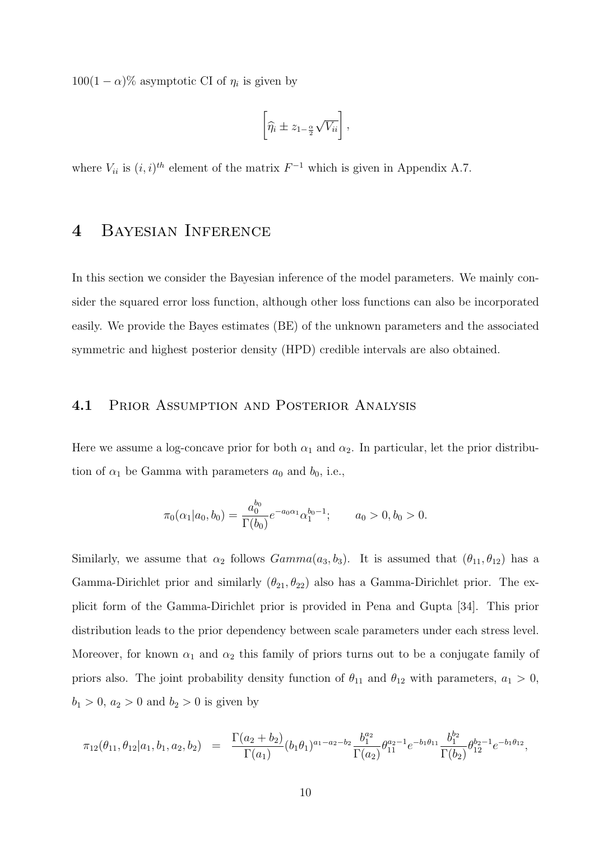$100(1-\alpha)\%$  asymptotic CI of  $\eta_i$  is given by

$$
\left[\widehat{\eta_i} \pm z_{1-\frac{\alpha}{2}}\sqrt{V_{ii}}\right],
$$

where  $V_{ii}$  is  $(i, i)^{th}$  element of the matrix  $F^{-1}$  which is given in Appendix A.7.

# 4 Bayesian Inference

In this section we consider the Bayesian inference of the model parameters. We mainly consider the squared error loss function, although other loss functions can also be incorporated easily. We provide the Bayes estimates (BE) of the unknown parameters and the associated symmetric and highest posterior density (HPD) credible intervals are also obtained.

#### 4.1 Prior Assumption and Posterior Analysis

Here we assume a log-concave prior for both  $\alpha_1$  and  $\alpha_2$ . In particular, let the prior distribution of  $\alpha_1$  be Gamma with parameters  $a_0$  and  $b_0$ , i.e.,

$$
\pi_0(\alpha_1|a_0, b_0) = \frac{a_0^{b_0}}{\Gamma(b_0)} e^{-a_0 \alpha_1} \alpha_1^{b_0 - 1}; \qquad a_0 > 0, b_0 > 0.
$$

Similarly, we assume that  $\alpha_2$  follows  $Gamma(a_3, b_3)$ . It is assumed that  $(\theta_{11}, \theta_{12})$  has a Gamma-Dirichlet prior and similarly  $(\theta_{21}, \theta_{22})$  also has a Gamma-Dirichlet prior. The explicit form of the Gamma-Dirichlet prior is provided in Pena and Gupta [34]. This prior distribution leads to the prior dependency between scale parameters under each stress level. Moreover, for known  $\alpha_1$  and  $\alpha_2$  this family of priors turns out to be a conjugate family of priors also. The joint probability density function of  $\theta_{11}$  and  $\theta_{12}$  with parameters,  $a_1 > 0$ ,  $b_1 > 0, a_2 > 0$  and  $b_2 > 0$  is given by

$$
\pi_{12}(\theta_{11},\theta_{12}|a_1,b_1,a_2,b_2) = \frac{\Gamma(a_2+b_2)}{\Gamma(a_1)}(b_1\theta_1)^{a_1-a_2-b_2} \frac{b_1^{a_2}}{\Gamma(a_2)} \theta_{11}^{a_2-1} e^{-b_1\theta_{11}} \frac{b_1^{b_2}}{\Gamma(b_2)} \theta_{12}^{b_2-1} e^{-b_1\theta_{12}},
$$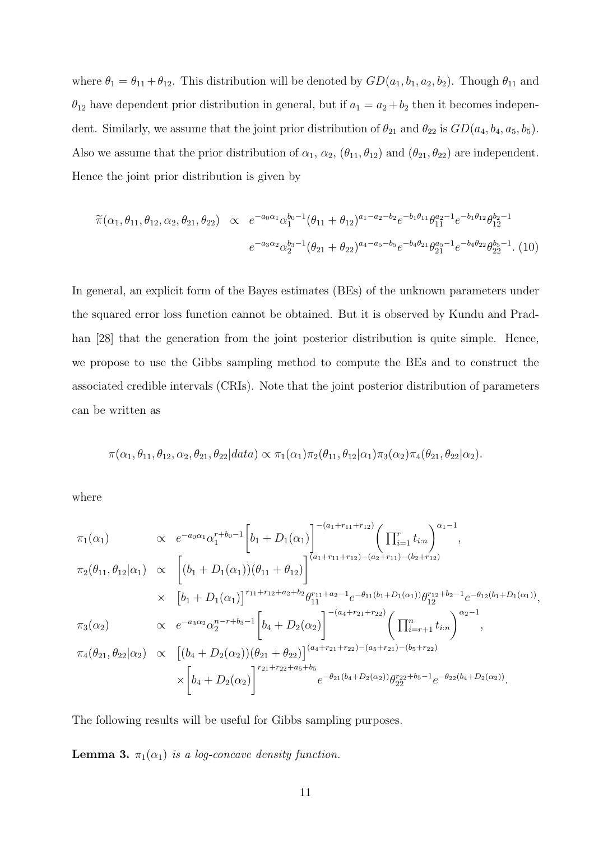where  $\theta_1 = \theta_{11} + \theta_{12}$ . This distribution will be denoted by  $GD(a_1, b_1, a_2, b_2)$ . Though  $\theta_{11}$  and  $\theta_{12}$  have dependent prior distribution in general, but if  $a_1 = a_2 + b_2$  then it becomes independent. Similarly, we assume that the joint prior distribution of  $\theta_{21}$  and  $\theta_{22}$  is  $GD(a_4, b_4, a_5, b_5)$ . Also we assume that the prior distribution of  $\alpha_1$ ,  $\alpha_2$ ,  $(\theta_{11}, \theta_{12})$  and  $(\theta_{21}, \theta_{22})$  are independent. Hence the joint prior distribution is given by

$$
\widetilde{\pi}(\alpha_1, \theta_{11}, \theta_{12}, \alpha_2, \theta_{21}, \theta_{22}) \propto e^{-a_0 \alpha_1} \alpha_1^{b_0 - 1} (\theta_{11} + \theta_{12})^{a_1 - a_2 - b_2} e^{-b_1 \theta_{11}} \theta_{11}^{a_2 - 1} e^{-b_1 \theta_{12}} \theta_{12}^{b_2 - 1}
$$
\n
$$
e^{-a_3 \alpha_2} \alpha_2^{b_3 - 1} (\theta_{21} + \theta_{22})^{a_4 - a_5 - b_5} e^{-b_4 \theta_{21}} \theta_{21}^{a_5 - 1} e^{-b_4 \theta_{22}} \theta_{22}^{b_5 - 1} .
$$
\n(10)

In general, an explicit form of the Bayes estimates (BEs) of the unknown parameters under the squared error loss function cannot be obtained. But it is observed by Kundu and Pradhan [28] that the generation from the joint posterior distribution is quite simple. Hence, we propose to use the Gibbs sampling method to compute the BEs and to construct the associated credible intervals (CRIs). Note that the joint posterior distribution of parameters can be written as

$$
\pi(\alpha_1, \theta_{11}, \theta_{12}, \alpha_2, \theta_{21}, \theta_{22} | data) \propto \pi_1(\alpha_1) \pi_2(\theta_{11}, \theta_{12} | \alpha_1) \pi_3(\alpha_2) \pi_4(\theta_{21}, \theta_{22} | \alpha_2).
$$

where

$$
\pi_1(\alpha_1) \propto e^{-a_0\alpha_1} \alpha_1^{r+b_0-1} \left[ b_1 + D_1(\alpha_1) \right]^{-(a_1+r_{11}+r_{12})} \left( \prod_{i=1}^r t_{i:n} \right)^{\alpha_1-1},
$$
  
\n
$$
\pi_2(\theta_{11}, \theta_{12}|\alpha_1) \propto \left[ (b_1 + D_1(\alpha_1))(\theta_{11} + \theta_{12}) \right]^{(a_1+r_{11}+r_{12})-(a_2+r_{11})-(b_2+r_{12})},
$$
  
\n
$$
\times \left[ b_1 + D_1(\alpha_1) \right]^{r_{11}+r_{12}+a_2+b_2} \theta_{11}^{r_{11}+a_2-1} e^{-\theta_{11}(b_1+D_1(\alpha_1))} \theta_{12}^{r_{12}+b_2-1} e^{-\theta_{12}(b_1+D_1(\alpha_1))},
$$
  
\n
$$
\pi_3(\alpha_2) \propto e^{-a_3\alpha_2} \alpha_2^{n-r+b_3-1} \left[ b_4 + D_2(\alpha_2) \right]^{-(a_4+r_{21}+r_{22})} \left( \prod_{i=r+1}^n t_{i:n} \right)^{\alpha_2-1},
$$
  
\n
$$
\pi_4(\theta_{21}, \theta_{22}|\alpha_2) \propto \left[ (b_4 + D_2(\alpha_2)) (\theta_{21} + \theta_{22}) \right]^{(a_4+r_{21}+r_{22})-(a_5+r_{21})-(b_5+r_{22})},
$$
  
\n
$$
\times \left[ b_4 + D_2(\alpha_2) \right]^{r_{21}+r_{22}+a_5+b_5} e^{-\theta_{21}(b_4+D_2(\alpha_2))} \theta_{22}^{r_{22}+b_5-1} e^{-\theta_{22}(b_4+D_2(\alpha_2))}.
$$

The following results will be useful for Gibbs sampling purposes.

**Lemma 3.**  $\pi_1(\alpha_1)$  is a log-concave density function.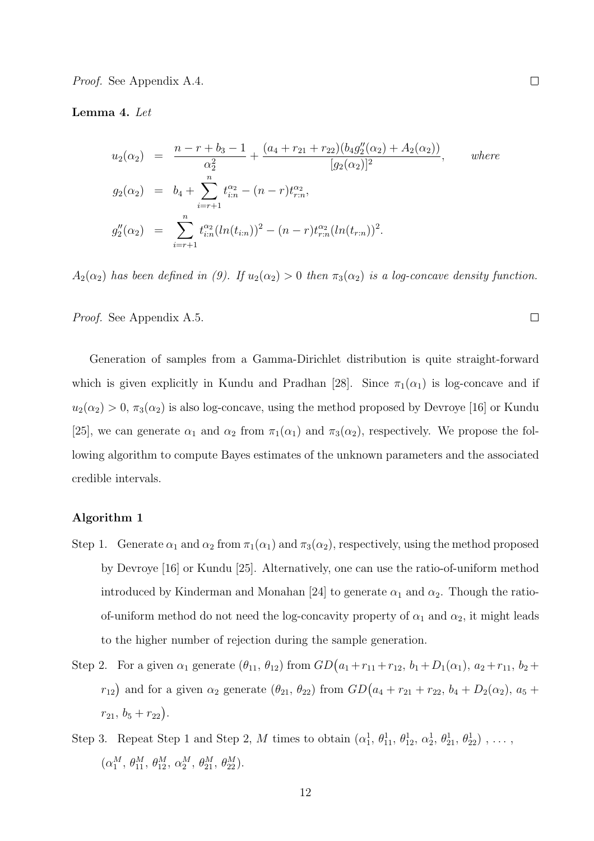Proof. See Appendix A.4.

#### Lemma 4. Let

$$
u_2(\alpha_2) = \frac{n - r + b_3 - 1}{\alpha_2^2} + \frac{(a_4 + r_{21} + r_{22})(b_4 g_2''(\alpha_2) + A_2(\alpha_2))}{[g_2(\alpha_2)]^2}, \quad where
$$
  
\n
$$
g_2(\alpha_2) = b_4 + \sum_{i=r+1}^n t_{i:n}^{\alpha_2} - (n - r) t_{r:n}^{\alpha_2},
$$
  
\n
$$
g_2''(\alpha_2) = \sum_{i=r+1}^n t_{i:n}^{\alpha_2} (ln(t_{i:n}))^2 - (n - r) t_{r:n}^{\alpha_2} (ln(t_{r:n}))^2.
$$

 $A_2(\alpha_2)$  has been defined in (9). If  $u_2(\alpha_2) > 0$  then  $\pi_3(\alpha_2)$  is a log-concave density function.

Proof. See Appendix A.5.

Generation of samples from a Gamma-Dirichlet distribution is quite straight-forward which is given explicitly in Kundu and Pradhan [28]. Since  $\pi_1(\alpha_1)$  is log-concave and if  $u_2(\alpha_2) > 0$ ,  $\pi_3(\alpha_2)$  is also log-concave, using the method proposed by Devroye [16] or Kundu [25], we can generate  $\alpha_1$  and  $\alpha_2$  from  $\pi_1(\alpha_1)$  and  $\pi_3(\alpha_2)$ , respectively. We propose the following algorithm to compute Bayes estimates of the unknown parameters and the associated credible intervals.

#### Algorithm 1

- Step 1. Generate  $\alpha_1$  and  $\alpha_2$  from  $\pi_1(\alpha_1)$  and  $\pi_3(\alpha_2)$ , respectively, using the method proposed by Devroye [16] or Kundu [25]. Alternatively, one can use the ratio-of-uniform method introduced by Kinderman and Monahan [24] to generate  $\alpha_1$  and  $\alpha_2$ . Though the ratioof-uniform method do not need the log-concavity property of  $\alpha_1$  and  $\alpha_2$ , it might leads to the higher number of rejection during the sample generation.
- Step 2. For a given  $\alpha_1$  generate  $(\theta_{11}, \theta_{12})$  from  $GD(a_1 + r_{11} + r_{12}, b_1 + D_1(\alpha_1), a_2 + r_{11}, b_2 +$  $r_{12}$ ) and for a given  $\alpha_2$  generate  $(\theta_{21}, \theta_{22})$  from  $GD(a_4 + r_{21} + r_{22}, b_4 + D_2(\alpha_2), a_5 + D_3(\alpha_3))$  $r_{21}, b_5 + r_{22}$ .
- Step 3. Repeat Step 1 and Step 2, M times to obtain  $(\alpha_1^1, \theta_{11}^1, \theta_{12}^1, \alpha_2^1, \theta_{21}^1, \theta_{22}^1), \ldots$  $(\alpha_1^M, \, \theta_{11}^M, \, \theta_{12}^M, \, \alpha_2^M, \, \theta_{21}^M, \, \theta_{22}^M).$

 $\Box$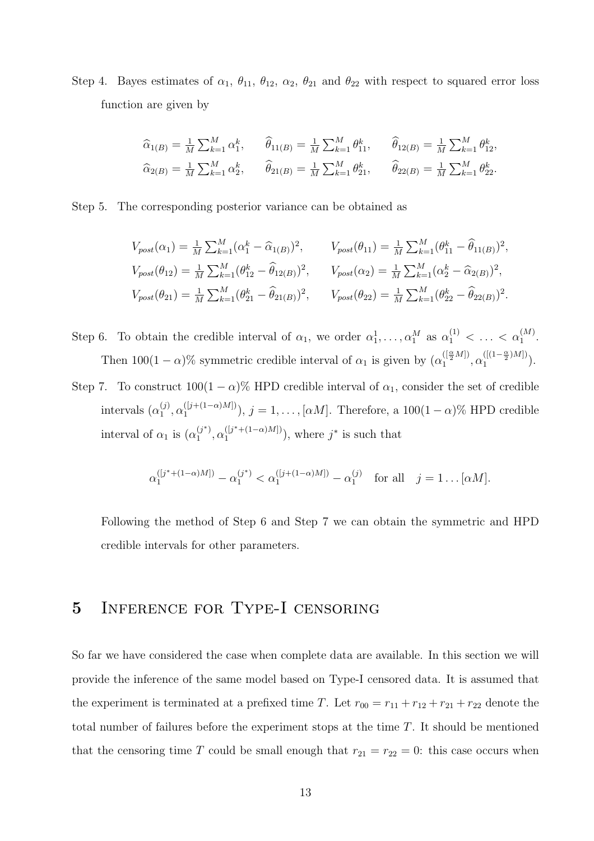Step 4. Bayes estimates of  $\alpha_1$ ,  $\theta_{11}$ ,  $\theta_{12}$ ,  $\alpha_2$ ,  $\theta_{21}$  and  $\theta_{22}$  with respect to squared error loss function are given by

$$
\begin{aligned}\n\widehat{\alpha}_{1(B)} &= \frac{1}{M} \sum_{k=1}^{M} \alpha_1^k, \qquad \widehat{\theta}_{11(B)} = \frac{1}{M} \sum_{k=1}^{M} \theta_{11}^k, \qquad \widehat{\theta}_{12(B)} = \frac{1}{M} \sum_{k=1}^{M} \theta_{12}^k, \\
\widehat{\alpha}_{2(B)} &= \frac{1}{M} \sum_{k=1}^{M} \alpha_2^k, \qquad \widehat{\theta}_{21(B)} = \frac{1}{M} \sum_{k=1}^{M} \theta_{21}^k, \qquad \widehat{\theta}_{22(B)} = \frac{1}{M} \sum_{k=1}^{M} \theta_{22}^k.\n\end{aligned}
$$

Step 5. The corresponding posterior variance can be obtained as

$$
V_{post}(\alpha_1) = \frac{1}{M} \sum_{k=1}^{M} (\alpha_1^k - \widehat{\alpha}_{1(B)})^2, \qquad V_{post}(\theta_{11}) = \frac{1}{M} \sum_{k=1}^{M} (\theta_{11}^k - \widehat{\theta}_{11(B)})^2,
$$
  
\n
$$
V_{post}(\theta_{12}) = \frac{1}{M} \sum_{k=1}^{M} (\theta_{12}^k - \widehat{\theta}_{12(B)})^2, \qquad V_{post}(\alpha_2) = \frac{1}{M} \sum_{k=1}^{M} (\alpha_2^k - \widehat{\alpha}_{2(B)})^2,
$$
  
\n
$$
V_{post}(\theta_{21}) = \frac{1}{M} \sum_{k=1}^{M} (\theta_{21}^k - \widehat{\theta}_{21(B)})^2, \qquad V_{post}(\theta_{22}) = \frac{1}{M} \sum_{k=1}^{M} (\theta_{22}^k - \widehat{\theta}_{22(B)})^2.
$$

Step 6. To obtain the credible interval of  $\alpha_1$ , we order  $\alpha_1^1, \ldots, \alpha_1^M$  as  $\alpha_1^{(1)} < \ldots < \alpha_1^{(M)}$ . Then  $100(1-\alpha)\%$  symmetric credible interval of  $\alpha_1$  is given by  $(\alpha_1^{([\frac{\alpha}{2}M])}, \alpha_1^{([\frac{1-\alpha}{2})M]})$  $\binom{(1-\frac{1}{2})^m}{1}$ .

Step 7. To construct  $100(1 - \alpha)$ % HPD credible interval of  $\alpha_1$ , consider the set of credible intervals  $(\alpha_1^{(j)}$  $\binom{(j)}{1}, \alpha_1^{([j+(1-\alpha)M])}$ ,  $j = 1, \ldots, [\alpha M]$ . Therefore, a  $100(1-\alpha)$ % HPD credible interval of  $\alpha_1$  is  $(\alpha_1^{(j^*)})$  $j^{(*)}$ ,  $\alpha_1^{(j^*+(1-\alpha)M]})$ , where  $j^*$  is such that

$$
\alpha_1^{([j^*+(1-\alpha)M])} - \alpha_1^{(j^*)} < \alpha_1^{([j+(1-\alpha)M])} - \alpha_1^{(j)} \quad \text{for all} \quad j = 1 \dots [\alpha M].
$$

Following the method of Step 6 and Step 7 we can obtain the symmetric and HPD credible intervals for other parameters.

# 5 Inference for Type-I censoring

So far we have considered the case when complete data are available. In this section we will provide the inference of the same model based on Type-I censored data. It is assumed that the experiment is terminated at a prefixed time T. Let  $r_{00} = r_{11} + r_{12} + r_{21} + r_{22}$  denote the total number of failures before the experiment stops at the time T. It should be mentioned that the censoring time T could be small enough that  $r_{21} = r_{22} = 0$ : this case occurs when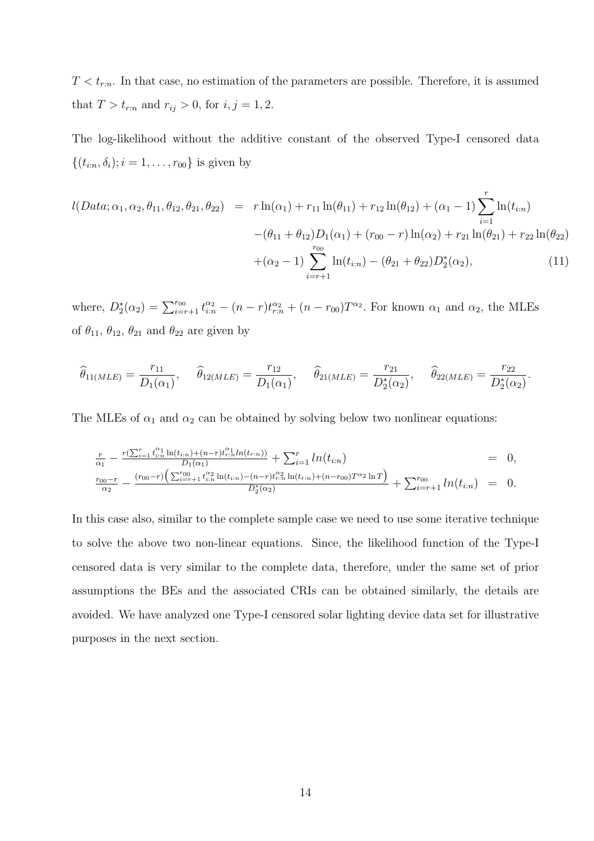$T < t_{r:n}$ . In that case, no estimation of the parameters are possible. Therefore, it is assumed that  $T > t_{r:n}$  and  $r_{ij} > 0$ , for  $i, j = 1, 2$ .

The log-likelihood without the additive constant of the observed Type-I censored data  $\{(t_{i:n}, \delta_i); i = 1, \ldots, r_{00}\}\$ is given by

$$
l(Data; \alpha_1, \alpha_2, \theta_{11}, \theta_{12}, \theta_{21}, \theta_{22}) = r \ln(\alpha_1) + r_{11} \ln(\theta_{11}) + r_{12} \ln(\theta_{12}) + (\alpha_1 - 1) \sum_{i=1}^r \ln(t_{i:n})
$$

$$
-(\theta_{11} + \theta_{12})D_1(\alpha_1) + (r_{00} - r) \ln(\alpha_2) + r_{21} \ln(\theta_{21}) + r_{22} \ln(\theta_{22})
$$

$$
+(\alpha_2 - 1) \sum_{i=r+1}^{r_{00}} \ln(t_{i:n}) - (\theta_{21} + \theta_{22})D_2^*(\alpha_2), \tag{11}
$$

where,  $D_2^*(\alpha_2) = \sum_{i=r+1}^{r_{00}} t_{i:n}^{\alpha_2} - (n-r)t_{r:n}^{\alpha_2} + (n-r_{00})T^{\alpha_2}$ . For known  $\alpha_1$  and  $\alpha_2$ , the MLEs of  $\theta_{11}$ ,  $\theta_{12}$ ,  $\theta_{21}$  and  $\theta_{22}$  are given by

$$
\widehat{\theta}_{11(MLE)} = \frac{r_{11}}{D_1(\alpha_1)}, \quad \widehat{\theta}_{12(MLE)} = \frac{r_{12}}{D_1(\alpha_1)}, \quad \widehat{\theta}_{21(MLE)} = \frac{r_{21}}{D_2^*(\alpha_2)}, \quad \widehat{\theta}_{22(MLE)} = \frac{r_{22}}{D_2^*(\alpha_2)}.
$$

The MLEs of  $\alpha_1$  and  $\alpha_2$  can be obtained by solving below two nonlinear equations:

$$
\frac{r}{\alpha_1} - \frac{r(\sum_{i=1}^r t_{i:n}^{\alpha_1} \ln(t_{i:n}) + (n-r)t_{r:n}^{\alpha_1} ln(t_{r:n}))}{D_1(\alpha_1)} + \sum_{i=1}^r ln(t_{i:n}) = 0,
$$
\n
$$
\frac{r_{00}-r}{\alpha_2} - \frac{(r_{00}-r)\left(\sum_{i=r+1}^{r_{00}} t_{i:n}^{\alpha_2} \ln(t_{i:n}) - (n-r)t_{r:n}^{\alpha_2} \ln(t_{r:n}) + (n-r_{00})T^{\alpha_2} \ln T\right)}{D_2^*(\alpha_2)} + \sum_{i=r+1}^{r_{00}} ln(t_{i:n}) = 0.
$$

In this case also, similar to the complete sample case we need to use some iterative technique to solve the above two non-linear equations. Since, the likelihood function of the Type-I censored data is very similar to the complete data, therefore, under the same set of prior assumptions the BEs and the associated CRIs can be obtained similarly, the details are avoided. We have analyzed one Type-I censored solar lighting device data set for illustrative purposes in the next section.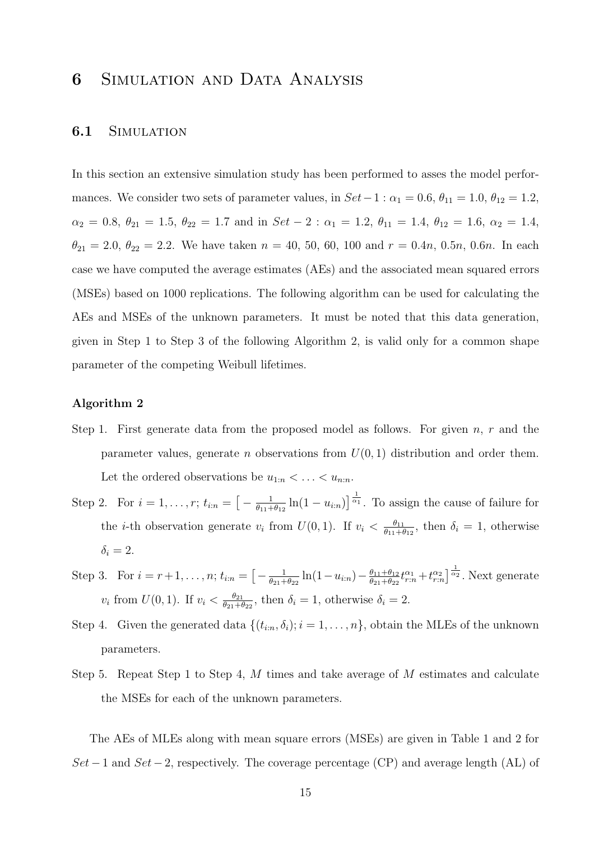# 6 Simulation and Data Analysis

### 6.1 SIMULATION

In this section an extensive simulation study has been performed to asses the model performances. We consider two sets of parameter values, in  $Set-1$  :  $\alpha_1 = 0.6$ ,  $\theta_{11} = 1.0$ ,  $\theta_{12} = 1.2$ ,  $\alpha_2 = 0.8, \ \theta_{21} = 1.5, \ \theta_{22} = 1.7 \text{ and in } Set - 2 : \alpha_1 = 1.2, \ \theta_{11} = 1.4, \ \theta_{12} = 1.6, \ \alpha_2 = 1.4,$  $\theta_{21} = 2.0, \ \theta_{22} = 2.2.$  We have taken  $n = 40, 50, 60, 100$  and  $r = 0.4n, 0.5n, 0.6n$ . In each case we have computed the average estimates (AEs) and the associated mean squared errors (MSEs) based on 1000 replications. The following algorithm can be used for calculating the AEs and MSEs of the unknown parameters. It must be noted that this data generation, given in Step 1 to Step 3 of the following Algorithm 2, is valid only for a common shape parameter of the competing Weibull lifetimes.

#### Algorithm 2

- Step 1. First generate data from the proposed model as follows. For given  $n, r$  and the parameter values, generate *n* observations from  $U(0, 1)$  distribution and order them. Let the ordered observations be  $u_{1:n} < \ldots < u_{n:n}$ .
- Step 2. For  $i = 1, ..., r$ ;  $t_{i:n} = \left[ -\frac{1}{\theta_{11} + \theta_{21}} \right]$  $\frac{1}{\theta_{11}+\theta_{12}}\ln(1-u_{i:n})\right]$ <sup> $\frac{1}{\alpha_1}$ </sup>. To assign the cause of failure for the *i*-th observation generate  $v_i$  from  $U(0, 1)$ . If  $v_i < \frac{\theta_{11}}{\theta_{11}+\theta_{22}}$  $\frac{\theta_{11}}{\theta_{11}+\theta_{12}}, \text{ then } \delta_i = 1, \text{ otherwise}$  $\delta_i = 2$ .
- Step 3. For  $i = r + 1, ..., n$ ;  $t_{i:n} = \left[ -\frac{1}{\theta_{21} + \dots + \theta_{n}} \right]$  $\frac{1}{\theta_{21}+\theta_{22}}\ln(1-u_{i:n})-\frac{\theta_{11}+\theta_{12}}{\theta_{21}+\theta_{22}}$  $\frac{\theta_{11}+\theta_{12}}{\theta_{21}+\theta_{22}}t_{r:n}^{\alpha_1}+t_{r:n}^{\alpha_2}\big]^\frac{1}{\alpha_2}$ . Next generate  $v_i$  from  $U(0, 1)$ . If  $v_i < \frac{\theta_{21}}{\theta_{21} + \theta_{22}}$  $\frac{\theta_{21}}{\theta_{21}+\theta_{22}}$ , then  $\delta_i=1$ , otherwise  $\delta_i=2$ .
- Step 4. Given the generated data  $\{(t_{i:n}, \delta_i); i = 1, \ldots, n\}$ , obtain the MLEs of the unknown parameters.
- Step 5. Repeat Step 1 to Step 4, M times and take average of M estimates and calculate the MSEs for each of the unknown parameters.

The AEs of MLEs along with mean square errors (MSEs) are given in Table 1 and 2 for  $Set-1$  and  $Set-2$ , respectively. The coverage percentage (CP) and average length (AL) of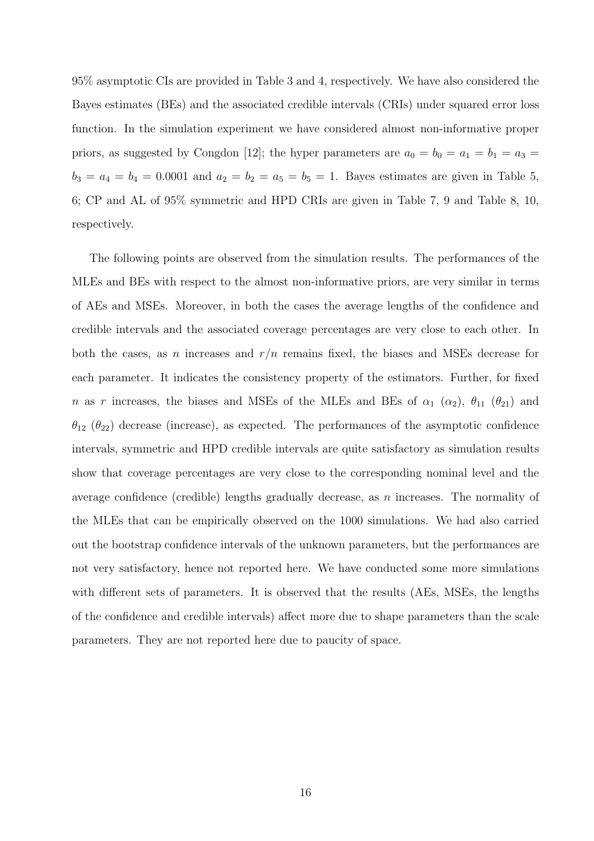95% asymptotic CIs are provided in Table 3 and 4, respectively. We have also considered the Bayes estimates (BEs) and the associated credible intervals (CRIs) under squared error loss function. In the simulation experiment we have considered almost non-informative proper priors, as suggested by Congdon [12]; the hyper parameters are  $a_0 = b_0 = a_1 = b_1 = a_3 =$  $b_3 = a_4 = b_4 = 0.0001$  and  $a_2 = b_2 = a_5 = b_5 = 1$ . Bayes estimates are given in Table 5, 6; CP and AL of 95% symmetric and HPD CRIs are given in Table 7, 9 and Table 8, 10, respectively.

The following points are observed from the simulation results. The performances of the MLEs and BEs with respect to the almost non-informative priors, are very similar in terms of AEs and MSEs. Moreover, in both the cases the average lengths of the confidence and credible intervals and the associated coverage percentages are very close to each other. In both the cases, as n increases and  $r/n$  remains fixed, the biases and MSEs decrease for each parameter. It indicates the consistency property of the estimators. Further, for fixed n as r increases, the biases and MSEs of the MLEs and BEs of  $\alpha_1$  ( $\alpha_2$ ),  $\theta_{11}$  ( $\theta_{21}$ ) and  $\theta_{12}$  ( $\theta_{22}$ ) decrease (increase), as expected. The performances of the asymptotic confidence intervals, symmetric and HPD credible intervals are quite satisfactory as simulation results show that coverage percentages are very close to the corresponding nominal level and the average confidence (credible) lengths gradually decrease, as  $n$  increases. The normality of the MLEs that can be empirically observed on the 1000 simulations. We had also carried out the bootstrap confidence intervals of the unknown parameters, but the performances are not very satisfactory, hence not reported here. We have conducted some more simulations with different sets of parameters. It is observed that the results (AEs, MSEs, the lengths of the confidence and credible intervals) affect more due to shape parameters than the scale parameters. They are not reported here due to paucity of space.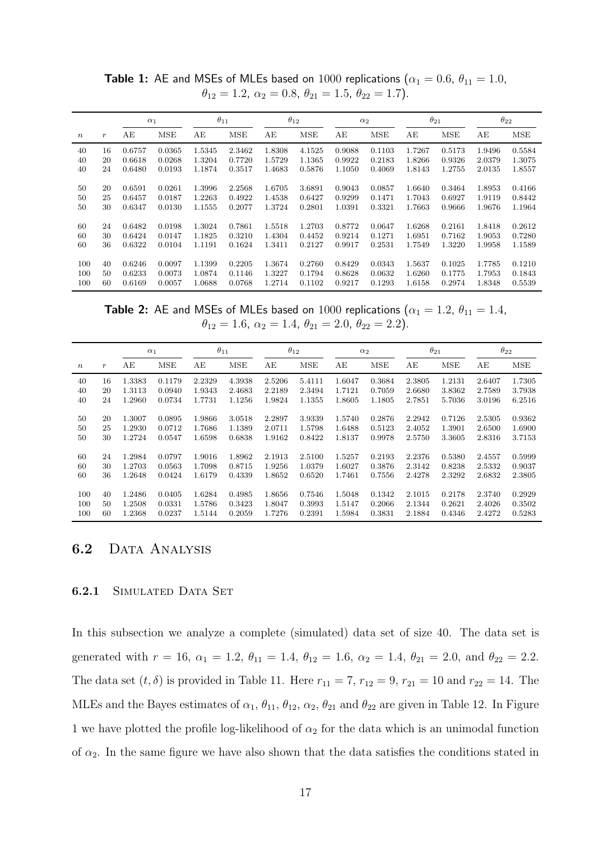|                  |                  |        | $\alpha_1$ |        | $\theta_{11}$ |        | $\theta_{12}$ |        | $\alpha_2$ |        | $\theta_{21}$ |        | $\theta_{22}$ |
|------------------|------------------|--------|------------|--------|---------------|--------|---------------|--------|------------|--------|---------------|--------|---------------|
| $\boldsymbol{n}$ | $\boldsymbol{r}$ | АE     | <b>MSE</b> | AЕ     | MSE           | АE     | <b>MSE</b>    | АE     | MSE        | AE     | <b>MSE</b>    | AE     | MSE           |
| 40               | 16               | 0.6757 | 0.0365     | 1.5345 | 2.3462        | 1.8308 | 4.1525        | 0.9088 | 0.1103     | 1.7267 | 0.5173        | 1.9496 | 0.5584        |
| 40               | 20               | 0.6618 | 0.0268     | 1.3204 | 0.7720        | 1.5729 | 1.1365        | 0.9922 | 0.2183     | 1.8266 | 0.9326        | 2.0379 | 1.3075        |
| 40               | 24               | 0.6480 | 0.0193     | 1.1874 | 0.3517        | 1.4683 | 0.5876        | 1.1050 | 0.4069     | 1.8143 | 1.2755        | 2.0135 | 1.8557        |
|                  |                  |        |            |        |               |        |               |        |            |        |               |        |               |
| 50               | 20               | 0.6591 | 0.0261     | 1.3996 | 2.2568        | 1.6705 | 3.6891        | 0.9043 | 0.0857     | 1.6640 | 0.3464        | 1.8953 | 0.4166        |
| 50               | 25               | 0.6457 | 0.0187     | 1.2263 | 0.4922        | 1.4538 | 0.6427        | 0.9299 | 0.1471     | 1.7043 | 0.6927        | 1.9119 | 0.8442        |
| 50               | 30               | 0.6347 | 0.0130     | 1.1555 | 0.2077        | 1.3724 | 0.2801        | 1.0391 | 0.3321     | 1.7663 | 0.9666        | 1.9676 | 1.1964        |
|                  |                  |        |            |        |               |        |               |        |            |        |               |        |               |
| 60               | 24               | 0.6482 | 0.0198     | 1.3024 | 0.7861        | 1.5518 | 1.2703        | 0.8772 | 0.0647     | 1.6268 | 0.2161        | 1.8418 | 0.2612        |
| 60               | 30               | 0.6424 | 0.0147     | 1.1825 | 0.3210        | 1.4304 | 0.4452        | 0.9214 | 0.1271     | 1.6951 | 0.7162        | 1.9053 | 0.7280        |
| 60               | 36               | 0.6322 | 0.0104     | 1.1191 | 0.1624        | 1.3411 | 0.2127        | 0.9917 | 0.2531     | 1.7549 | 1.3220        | 1.9958 | 1.1589        |
|                  |                  |        |            |        |               |        |               |        |            |        |               |        |               |
| 100              | 40               | 0.6246 | 0.0097     | 1.1399 | 0.2205        | 1.3674 | 0.2760        | 0.8429 | 0.0343     | 1.5637 | 0.1025        | 1.7785 | 0.1210        |
| 100              | 50               | 0.6233 | 0.0073     | 1.0874 | 0.1146        | 1.3227 | 0.1794        | 0.8628 | 0.0632     | 1.6260 | 0.1775        | 1.7953 | 0.1843        |
| 100              | 60               | 0.6169 | 0.0057     | 1.0688 | 0.0768        | 1.2714 | 0.1102        | 0.9217 | 0.1293     | 1.6158 | 0.2974        | 1.8348 | 0.5539        |

**Table 1:** AE and MSEs of MLEs based on 1000 replications ( $\alpha_1 = 0.6$ ,  $\theta_{11} = 1.0$ ,  $\theta_{12} = 1.2, \ \alpha_2 = 0.8, \ \theta_{21} = 1.5, \ \theta_{22} = 1.7$ .

**Table 2:** AE and MSEs of MLEs based on 1000 replications ( $\alpha_1 = 1.2$ ,  $\theta_{11} = 1.4$ ,  $\theta_{12} = 1.6, \ \alpha_2 = 1.4, \ \theta_{21} = 2.0, \ \theta_{22} = 2.2$ ).

|                      |                      | $\alpha_1$                           |                                      |                                      | $\theta_{11}$                        |                                      | $\theta_{12}$                        |                                      | $\alpha_2$                           |                                      | $\theta_{21}$                        |                                      | $\theta_{22}$                        |
|----------------------|----------------------|--------------------------------------|--------------------------------------|--------------------------------------|--------------------------------------|--------------------------------------|--------------------------------------|--------------------------------------|--------------------------------------|--------------------------------------|--------------------------------------|--------------------------------------|--------------------------------------|
| $\boldsymbol{n}$     | $\boldsymbol{r}$     | AE                                   | <b>MSE</b>                           | AE                                   | <b>MSE</b>                           | AE                                   | <b>MSE</b>                           | AE                                   | <b>MSE</b>                           | AE                                   | <b>MSE</b>                           | AE                                   | <b>MSE</b>                           |
| 40                   | 16                   | 1.3383                               | 0.1179                               | 2.2329                               | 4.3938                               | 2.5206                               | 5.4111                               | 1.6047                               | 0.3684                               | 2.3805                               | 1.2131                               | 2.6407                               | 1.7305                               |
| 40                   | 20                   | 1.3113                               | 0.0940                               | 1.9343                               | 2.4683                               | 2.2189                               | 2.3494                               | 1.7121                               | 0.7059                               | 2.6680                               | 3.8362                               | 2.7589                               | 3.7938                               |
| 40                   | 24                   | 1.2960                               | 0.0734                               | 1.7731                               | 1.1256                               | 1.9824                               | 1.1355                               | 1.8605                               | 1.1805                               | 2.7851                               | 5.7036                               | 3.0196                               | 6.2516                               |
| 50<br>50<br>50<br>60 | 20<br>25<br>30<br>24 | 1.3007<br>1.2930<br>1.2724<br>1.2984 | 0.0895<br>0.0712<br>0.0547<br>0.0797 | 1.9866<br>1.7686<br>1.6598<br>1.9016 | 3.0518<br>1.1389<br>0.6838<br>1.8962 | 2.2897<br>2.0711<br>1.9162<br>2.1913 | 3.9339<br>1.5798<br>0.8422<br>2.5100 | 1.5740<br>1.6488<br>1.8137<br>1.5257 | 0.2876<br>0.5123<br>0.9978<br>0.2193 | 2.2942<br>2.4052<br>2.5750<br>2.2376 | 0.7126<br>1.3901<br>3.3605<br>0.5380 | 2.5305<br>2.6500<br>2.8316<br>2.4557 | 0.9362<br>1.6900<br>3.7153<br>0.5999 |
| 60                   | 30                   | 1.2703                               | 0.0563                               | 1.7098                               | 0.8715                               | 1.9256                               | 1.0379                               | 1.6027                               | 0.3876                               | 2.3142                               | 0.8238                               | 2.5332                               | 0.9037                               |
| 60                   | 36                   | 1.2648                               | 0.0424                               | 1.6179                               | 0.4339                               | 1.8652                               | 0.6520                               | 1.7461                               | 0.7556                               | 2.4278                               | 2.3292                               | 2.6832                               | 2.3805                               |
| 100<br>100<br>100    | 40<br>50<br>60       | 1.2486<br>1.2508<br>1.2368           | 0.0405<br>0.0331<br>0.0237           | 1.6284<br>1.5786<br>1.5144           | 0.4985<br>0.3423<br>0.2059           | 1.8656<br>1.8047<br>1.7276           | 0.7546<br>0.3993<br>0.2391           | 1.5048<br>1.5147<br>1.5984           | 0.1342<br>0.2066<br>0.3831           | 2.1015<br>2.1344<br>2.1884           | 0.2178<br>0.2621<br>0.4346           | 2.3740<br>2.4026<br>2.4272           | 0.2929<br>0.3502<br>0.5283           |

### 6.2 DATA ANALYSIS

#### 6.2.1 SIMULATED DATA SET

In this subsection we analyze a complete (simulated) data set of size 40. The data set is generated with  $r = 16$ ,  $\alpha_1 = 1.2$ ,  $\theta_{11} = 1.4$ ,  $\theta_{12} = 1.6$ ,  $\alpha_2 = 1.4$ ,  $\theta_{21} = 2.0$ , and  $\theta_{22} = 2.2$ . The data set  $(t, \delta)$  is provided in Table 11. Here  $r_{11} = 7$ ,  $r_{12} = 9$ ,  $r_{21} = 10$  and  $r_{22} = 14$ . The MLEs and the Bayes estimates of  $\alpha_1$ ,  $\theta_{11}$ ,  $\theta_{12}$ ,  $\alpha_2$ ,  $\theta_{21}$  and  $\theta_{22}$  are given in Table 12. In Figure 1 we have plotted the profile log-likelihood of  $\alpha_2$  for the data which is an unimodal function of  $\alpha_2$ . In the same figure we have also shown that the data satisfies the conditions stated in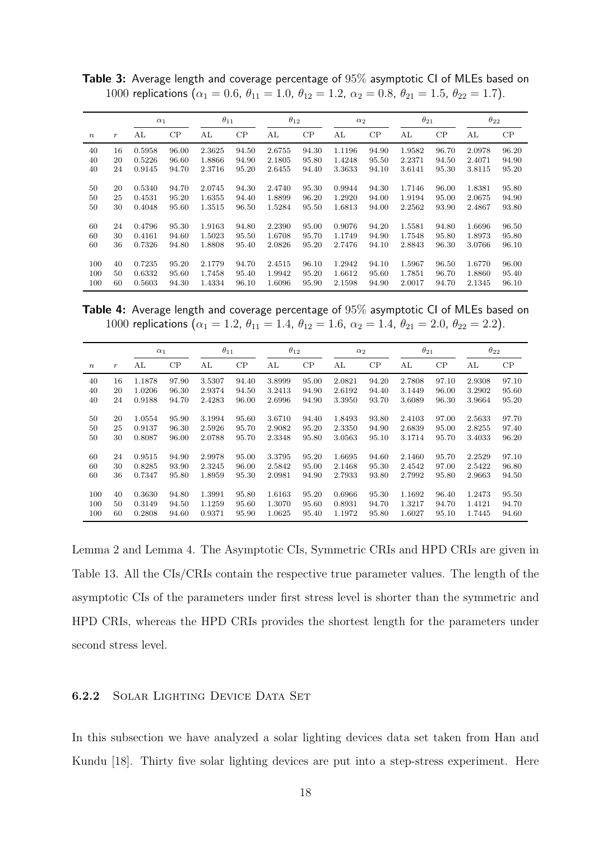|                  |                  | $\alpha_1$ |       | $\theta_{11}$ |       | $\theta_{12}$ |       | $\alpha_2$ |       | $\theta_{21}$ |       | $\theta_{22}$ |          |
|------------------|------------------|------------|-------|---------------|-------|---------------|-------|------------|-------|---------------|-------|---------------|----------|
| $\boldsymbol{n}$ | $\boldsymbol{r}$ | AL         | CP    | AL            | CP    | AL            | CP    | AL         | CP    | AL            | CP    | AL            | $\rm CP$ |
| 40               | 16               | 0.5958     | 96.00 | 2.3625        | 94.50 | 2.6755        | 94.30 | 1.1196     | 94.90 | 1.9582        | 96.70 | 2.0978        | 96.20    |
| 40               | 20               | 0.5226     | 96.60 | 1.8866        | 94.90 | 2.1805        | 95.80 | 1.4248     | 95.50 | 2.2371        | 94.50 | 2.4071        | 94.90    |
| 40               | 24               | 0.9145     | 94.70 | 2.3716        | 95.20 | 2.6455        | 94.40 | 3.3633     | 94.10 | 3.6141        | 95.30 | 3.8115        | 95.20    |
|                  |                  |            |       |               |       |               |       |            |       |               |       |               |          |
| 50               | 20               | 0.5340     | 94.70 | 2.0745        | 94.30 | 2.4740        | 95.30 | 0.9944     | 94.30 | 1.7146        | 96.00 | 1.8381        | 95.80    |
| 50               | 25               | 0.4531     | 95.20 | 1.6355        | 94.40 | 1.8899        | 96.20 | 1.2920     | 94.00 | 1.9194        | 95.00 | 2.0675        | 94.90    |
| 50               | 30               | 0.4048     | 95.60 | 1.3515        | 96.50 | 1.5284        | 95.50 | 1.6813     | 94.00 | 2.2562        | 93.90 | 2.4867        | 93.80    |
|                  |                  |            |       |               |       |               |       |            |       |               |       |               |          |
| 60               | 24               | 0.4796     | 95.30 | 1.9163        | 94.80 | 2.2390        | 95.00 | 0.9076     | 94.20 | 1.5581        | 94.80 | 1.6696        | 96.50    |
| 60               | 30               | 0.4161     | 94.60 | 1.5023        | 95.50 | 1.6708        | 95.70 | 1.1749     | 94.90 | 1.7548        | 95.80 | 1.8973        | 95.80    |
| 60               | 36               | 0.7326     | 94.80 | 1.8808        | 95.40 | 2.0826        | 95.20 | 2.7476     | 94.10 | 2.8843        | 96.30 | 3.0766        | 96.10    |
|                  |                  |            |       |               |       |               |       |            |       |               |       |               |          |
| 100              | 40               | 0.7235     | 95.20 | 2.1779        | 94.70 | 2.4515        | 96.10 | 1.2942     | 94.10 | 1.5967        | 96.50 | 1.6770        | 96.00    |
| 100              | 50               | 0.6332     | 95.60 | 1.7458        | 95.40 | 1.9942        | 95.20 | 1.6612     | 95.60 | 1.7851        | 96.70 | 1.8860        | 95.40    |
| 100              | 60               | 0.5603     | 94.30 | 1.4334        | 96.10 | 1.6096        | 95.90 | 2.1598     | 94.90 | 2.0017        | 94.70 | 2.1345        | 96.10    |

Table 3: Average length and coverage percentage of 95% asymptotic CI of MLEs based on 1000 replications ( $\alpha_1 = 0.6$ ,  $\theta_{11} = 1.0$ ,  $\theta_{12} = 1.2$ ,  $\alpha_2 = 0.8$ ,  $\theta_{21} = 1.5$ ,  $\theta_{22} = 1.7$ ).

Table 4: Average length and coverage percentage of 95% asymptotic CI of MLEs based on 1000 replications ( $\alpha_1 = 1.2$ ,  $\theta_{11} = 1.4$ ,  $\theta_{12} = 1.6$ ,  $\alpha_2 = 1.4$ ,  $\theta_{21} = 2.0$ ,  $\theta_{22} = 2.2$ ).

|                  |                  | $\alpha_1$       |                | $\theta_{11}$    |                | $\theta_{12}$    |                | $\alpha_2$       |                | $\theta_{21}$    |                | $\theta_{22}$    |                |
|------------------|------------------|------------------|----------------|------------------|----------------|------------------|----------------|------------------|----------------|------------------|----------------|------------------|----------------|
| $\boldsymbol{n}$ | $\boldsymbol{r}$ | AL               | CP             | AL               | CP             | AL               | CP             | AL               | CP             | AL               | CP             | AL               | CP             |
| 40<br>40         | 16<br>20         | 1.1878<br>1.0206 | 97.90<br>96.30 | 3.5307<br>2.9374 | 94.40<br>94.50 | 3.8999<br>3.2413 | 95.00<br>94.90 | 2.0821<br>2.6192 | 94.20<br>94.40 | 2.7808<br>3.1449 | 97.10<br>96.00 | 2.9308<br>3.2902 | 97.10<br>95.60 |
| 40               | 24               | 0.9188           | 94.70          | 2.4283           | 96.00          | 2.6996           | 94.90          | 3.3950           | 93.70          | 3.6089           | 96.30          | 3.9664           | 95.20          |
| 50               | 20               | 1.0554           | 95.90          | 3.1994           | 95.60          | 3.6710           | 94.40          | 1.8493           | 93.80          | 2.4103           | 97.00          | 2.5633           | 97.70          |
| 50               | 25               | 0.9137           | 96.30          | 2.5926           | 95.70          | 2.9082           | 95.20          | 2.3350           | 94.90          | 2.6839           | 95.00          | 2.8255           | 97.40          |
| 50               | 30               | 0.8087           | 96.00          | 2.0788           | 95.70          | 2.3348           | 95.80          | 3.0563           | 95.10          | 3.1714           | 95.70          | 3.4033           | 96.20          |
| 60               | 24               | 0.9515           | 94.90          | 2.9978           | 95.00          | 3.3795           | 95.20          | 1.6695           | 94.60          | 2.1460           | 95.70          | 2.2529           | 97.10          |
| 60               | 30               | 0.8285           | 93.90          | 2.3245           | 96.00          | 2.5842           | 95.00          | 2.1468           | 95.30          | 2.4542           | 97.00          | 2.5422           | 96.80          |
| 60               | 36               | 0.7347           | 95.80          | 1.8959           | 95.30          | 2.0981           | 94.90          | 2.7933           | 93.80          | 2.7992           | 95.80          | 2.9663           | 94.50          |
| 100              | 40               | 0.3630           | 94.80          | 1.3991           | 95.80          | 1.6163           | 95.20          | 0.6966           | 95.30          | 1.1692           | 96.40          | 1.2473           | 95.50          |
| 100              | 50               | 0.3149           | 94.50          | 1.1259           | 95.60          | 1.3070           | 95.60          | 0.8931           | 94.70          | 1.3217           | 94.70          | 1.4121           | 94.70          |
| 100              | 60               | 0.2808           | 94.60          | 0.9371           | 95.90          | 1.0625           | 95.40          | 1.1972           | 95.80          | 1.6027           | 95.10          | 1.7445           | 94.60          |

Lemma 2 and Lemma 4. The Asymptotic CIs, Symmetric CRIs and HPD CRIs are given in Table 13. All the CIs/CRIs contain the respective true parameter values. The length of the asymptotic CIs of the parameters under first stress level is shorter than the symmetric and HPD CRIs, whereas the HPD CRIs provides the shortest length for the parameters under second stress level.

#### 6.2.2 Solar Lighting Device Data Set

In this subsection we have analyzed a solar lighting devices data set taken from Han and Kundu [18]. Thirty five solar lighting devices are put into a step-stress experiment. Here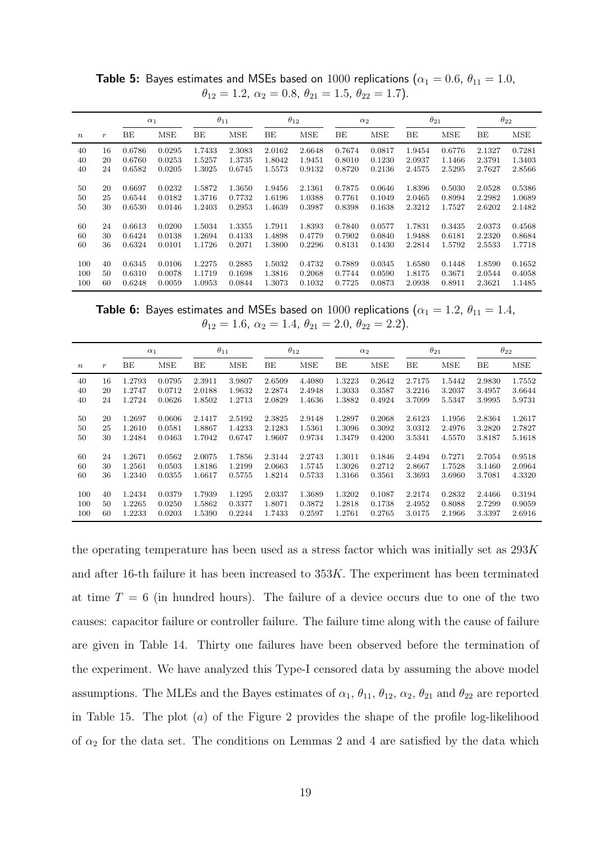|                  |                  |        | $\alpha_1$ |        | $\theta_{11}$ |        | $\theta_{12}$ |        | $\alpha_2$ |        | $\theta_{21}$ |        | $\theta_{22}$ |
|------------------|------------------|--------|------------|--------|---------------|--------|---------------|--------|------------|--------|---------------|--------|---------------|
| $\boldsymbol{n}$ | $\boldsymbol{r}$ | BЕ     | <b>MSE</b> | BE     | <b>MSE</b>    | BE     | <b>MSE</b>    | BE     | <b>MSE</b> | BE     | <b>MSE</b>    | BE     | MSE           |
| 40               | 16               | 0.6786 | 0.0295     | 1.7433 | 2.3083        | 2.0162 | 2.6648        | 0.7674 | 0.0817     | 1.9454 | 0.6776        | 2.1327 | 0.7281        |
| 40               | 20               | 0.6760 | 0.0253     | 1.5257 | 1.3735        | 1.8042 | 1.9451        | 0.8010 | 0.1230     | 2.0937 | 1.1466        | 2.3791 | 1.3403        |
| 40               | 24               | 0.6582 | 0.0205     | 1.3025 | 0.6745        | 1.5573 | 0.9132        | 0.8720 | 0.2136     | 2.4575 | 2.5295        | 2.7627 | 2.8566        |
|                  |                  |        |            |        |               |        |               |        |            |        |               |        |               |
| 50               | 20               | 0.6697 | 0.0232     | 1.5872 | 1.3650        | 1.9456 | 2.1361        | 0.7875 | 0.0646     | 1.8396 | 0.5030        | 2.0528 | 0.5386        |
| 50               | 25               | 0.6544 | 0.0182     | 1.3716 | 0.7732        | 1.6196 | 1.0388        | 0.7761 | 0.1049     | 2.0465 | 0.8994        | 2.2982 | 1.0689        |
| 50               | 30               | 0.6530 | 0.0146     | 1.2403 | 0.2953        | 1.4639 | 0.3987        | 0.8398 | 0.1638     | 2.3212 | 1.7527        | 2.6202 | 2.1482        |
|                  |                  |        |            |        |               |        |               |        |            |        |               |        |               |
| 60               | 24               | 0.6613 | 0.0200     | 1.5034 | 1.3355        | 1.7911 | 1.8393        | 0.7840 | 0.0577     | 1.7831 | 0.3435        | 2.0373 | 0.4568        |
| 60               | 30               | 0.6424 | 0.0138     | 1.2694 | 0.4133        | 1.4898 | 0.4779        | 0.7902 | 0.0840     | 1.9488 | 0.6181        | 2.2320 | 0.8684        |
| 60               | 36               | 0.6324 | 0.0101     | 1.1726 | 0.2071        | 1.3800 | 0.2296        | 0.8131 | 0.1430     | 2.2814 | 1.5792        | 2.5533 | 1.7718        |
|                  |                  |        |            |        |               |        |               |        |            |        |               |        |               |
| 100              | 40               | 0.6345 | 0.0106     | 1.2275 | 0.2885        | 1.5032 | 0.4732        | 0.7889 | 0.0345     | 1.6580 | 0.1448        | 1.8590 | 0.1652        |
| 100              | 50               | 0.6310 | 0.0078     | 1.1719 | 0.1698        | 1.3816 | 0.2068        | 0.7744 | 0.0590     | 1.8175 | 0.3671        | 2.0544 | 0.4058        |
| 100              | 60               | 0.6248 | 0.0059     | 1.0953 | 0.0844        | 1.3073 | 0.1032        | 0.7725 | 0.0873     | 2.0938 | 0.8911        | 2.3621 | 1.1485        |

**Table 5:** Bayes estimates and MSEs based on  $1000$  replications ( $\alpha_1 = 0.6$ ,  $\theta_{11} = 1.0$ ,  $\theta_{12} = 1.2, \ \alpha_2 = 0.8, \ \theta_{21} = 1.5, \ \theta_{22} = 1.7$ .

**Table 6:** Bayes estimates and MSEs based on 1000 replications ( $\alpha_1 = 1.2$ ,  $\theta_{11} = 1.4$ ,  $\theta_{12} = 1.6, \ \alpha_2 = 1.4, \ \theta_{21} = 2.0, \ \theta_{22} = 2.2$ ).

|                  |                  |        | $\alpha_1$ |        | $\theta_{11}$ |        | $\theta_{12}$ |        | $\alpha_2$ |        | $\theta_{21}$ |        | $\theta_{22}$ |
|------------------|------------------|--------|------------|--------|---------------|--------|---------------|--------|------------|--------|---------------|--------|---------------|
| $\boldsymbol{n}$ | $\boldsymbol{r}$ | BE     | <b>MSE</b> | BE     | <b>MSE</b>    | BE     | <b>MSE</b>    | BE     | <b>MSE</b> | BE     | <b>MSE</b>    | BE     | <b>MSE</b>    |
| 40               | 16               | 1.2793 | 0.0795     | 2.3911 | 3.9807        | 2.6509 | 4.4080        | 1.3223 | 0.2642     | 2.7175 | 1.5442        | 2.9830 | 1.7552        |
| 40               | 20               | 1.2747 | 0.0712     | 2.0188 | 1.9632        | 2.2874 | 2.4948        | 1.3033 | 0.3587     | 3.2216 | 3.2037        | 3.4957 | 3.6644        |
| 40               | 24               | 1.2724 | 0.0626     | 1.8502 | 1.2713        | 2.0829 | 1.4636        | 1.3882 | 0.4924     | 3.7099 | 5.5347        | 3.9995 | 5.9731        |
|                  |                  |        |            |        |               |        |               |        |            |        |               |        |               |
| 50               | 20               | 1.2697 | 0.0606     | 2.1417 | 2.5192        | 2.3825 | 2.9148        | 1.2897 | 0.2068     | 2.6123 | 1.1956        | 2.8364 | 1.2617        |
| 50               | 25               | 1.2610 | 0.0581     | 1.8867 | 1.4233        | 2.1283 | 1.5361        | 1.3096 | 0.3092     | 3.0312 | 2.4976        | 3.2820 | 2.7827        |
| 50               | 30               | 1.2484 | 0.0463     | 1.7042 | 0.6747        | 1.9607 | 0.9734        | 1.3479 | 0.4200     | 3.5341 | 4.5570        | 3.8187 | 5.1618        |
|                  |                  |        |            |        |               |        |               |        |            |        |               |        |               |
| 60               | 24               | 1.2671 | 0.0562     | 2.0075 | 1.7856        | 2.3144 | 2.2743        | 1.3011 | 0.1846     | 2.4494 | 0.7271        | 2.7054 | 0.9518        |
| 60               | 30               | 1.2561 | 0.0503     | 1.8186 | 1.2199        | 2.0663 | 1.5745        | 1.3026 | 0.2712     | 2.8667 | 1.7528        | 3.1460 | 2.0964        |
| 60               | 36               | 1.2340 | 0.0355     | 1.6617 | 0.5755        | 1.8214 | 0.5733        | 1.3166 | 0.3561     | 3.3693 | 3.6960        | 3.7081 | 4.3320        |
|                  |                  |        |            |        |               |        |               |        |            |        |               |        |               |
| 100              | 40               | 1.2434 | 0.0379     | 1.7939 | 1.1295        | 2.0337 | 1.3689        | 1.3202 | 0.1087     | 2.2174 | 0.2832        | 2.4466 | 0.3194        |
| 100              | 50               | 1.2265 | 0.0250     | 1.5862 | 0.3377        | 1.8071 | 0.3872        | 1.2818 | 0.1738     | 2.4952 | 0.8088        | 2.7299 | 0.9059        |
| 100              | 60               | 1.2233 | 0.0203     | 1.5390 | 0.2244        | 1.7433 | 0.2597        | 1.2761 | 0.2765     | 3.0175 | 2.1966        | 3.3397 | 2.6916        |

the operating temperature has been used as a stress factor which was initially set as  $293K$ and after 16-th failure it has been increased to  $353K$ . The experiment has been terminated at time  $T = 6$  (in hundred hours). The failure of a device occurs due to one of the two causes: capacitor failure or controller failure. The failure time along with the cause of failure are given in Table 14. Thirty one failures have been observed before the termination of the experiment. We have analyzed this Type-I censored data by assuming the above model assumptions. The MLEs and the Bayes estimates of  $\alpha_1$ ,  $\theta_{11}$ ,  $\theta_{12}$ ,  $\alpha_2$ ,  $\theta_{21}$  and  $\theta_{22}$  are reported in Table 15. The plot  $(a)$  of the Figure 2 provides the shape of the profile log-likelihood of  $\alpha_2$  for the data set. The conditions on Lemmas 2 and 4 are satisfied by the data which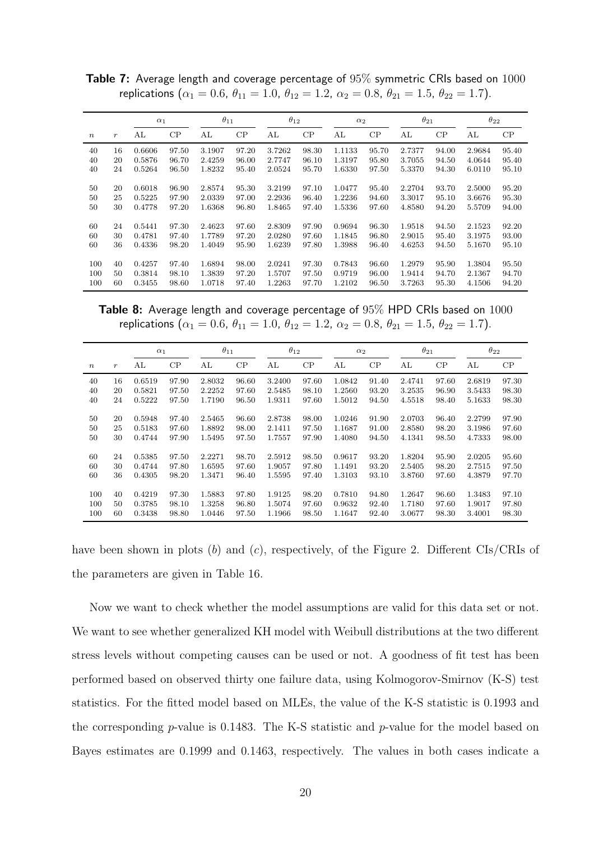|                  |                  | $\alpha_1$ |       | $\theta_{11}$ |       | $\theta_{12}$ |       | $\alpha_2$ |       | $\theta_{21}$ |       | $\theta_{22}$ |          |
|------------------|------------------|------------|-------|---------------|-------|---------------|-------|------------|-------|---------------|-------|---------------|----------|
| $\boldsymbol{n}$ | $\boldsymbol{r}$ | AL         | CP    | AL            | CP    | AL            | CP    | AL         | CP    | AL            | CP    | AL            | $\rm CP$ |
| 40               | 16               | 0.6606     | 97.50 | 3.1907        | 97.20 | 3.7262        | 98.30 | 1.1133     | 95.70 | 2.7377        | 94.00 | 2.9684        | 95.40    |
| 40               | 20               | 0.5876     | 96.70 | 2.4259        | 96.00 | 2.7747        | 96.10 | 1.3197     | 95.80 | 3.7055        | 94.50 | 4.0644        | 95.40    |
| 40               | 24               | 0.5264     | 96.50 | 1.8232        | 95.40 | 2.0524        | 95.70 | 1.6330     | 97.50 | 5.3370        | 94.30 | 6.0110        | 95.10    |
|                  |                  |            |       |               |       |               |       |            |       |               |       |               |          |
| 50               | 20               | 0.6018     | 96.90 | 2.8574        | 95.30 | 3.2199        | 97.10 | 1.0477     | 95.40 | 2.2704        | 93.70 | 2.5000        | 95.20    |
| 50               | 25               | 0.5225     | 97.90 | 2.0339        | 97.00 | 2.2936        | 96.40 | 1.2236     | 94.60 | 3.3017        | 95.10 | 3.6676        | 95.30    |
| 50               | 30               | 0.4778     | 97.20 | 1.6368        | 96.80 | 1.8465        | 97.40 | 1.5336     | 97.60 | 4.8580        | 94.20 | 5.5709        | 94.00    |
|                  |                  |            |       |               |       |               |       |            |       |               |       |               |          |
| 60               | 24               | 0.5441     | 97.30 | 2.4623        | 97.60 | 2.8309        | 97.90 | 0.9694     | 96.30 | 1.9518        | 94.50 | 2.1523        | 92.20    |
| 60               | 30               | 0.4781     | 97.40 | 1.7789        | 97.20 | 2.0280        | 97.60 | 1.1845     | 96.80 | 2.9015        | 95.40 | 3.1975        | 93.00    |
| 60               | 36               | 0.4336     | 98.20 | 1.4049        | 95.90 | 1.6239        | 97.80 | 1.3988     | 96.40 | 4.6253        | 94.50 | 5.1670        | 95.10    |
|                  |                  |            |       |               |       |               |       |            |       |               |       |               |          |
| 100              | 40               | 0.4257     | 97.40 | 1.6894        | 98.00 | 2.0241        | 97.30 | 0.7843     | 96.60 | 1.2979        | 95.90 | 1.3804        | 95.50    |
| 100              | 50               | 0.3814     | 98.10 | 1.3839        | 97.20 | 1.5707        | 97.50 | 0.9719     | 96.00 | 1.9414        | 94.70 | 2.1367        | 94.70    |
| 100              | 60               | 0.3455     | 98.60 | 1.0718        | 97.40 | 1.2263        | 97.70 | 1.2102     | 96.50 | 3.7263        | 95.30 | 4.1506        | 94.20    |

**Table 7:** Average length and coverage percentage of 95% symmetric CRIs based on 1000 replications ( $\alpha_1 = 0.6$ ,  $\theta_{11} = 1.0$ ,  $\theta_{12} = 1.2$ ,  $\alpha_2 = 0.8$ ,  $\theta_{21} = 1.5$ ,  $\theta_{22} = 1.7$ ).

**Table 8:** Average length and coverage percentage of  $95\%$  HPD CRIs based on  $1000$ replications ( $\alpha_1 = 0.6$ ,  $\theta_{11} = 1.0$ ,  $\theta_{12} = 1.2$ ,  $\alpha_2 = 0.8$ ,  $\theta_{21} = 1.5$ ,  $\theta_{22} = 1.7$ ).

|                  |                  | $\alpha_1$ |       | $\theta_{11}$ |       | $\theta_{12}$ |       | $\alpha_2$ |       | $\theta_{21}$ |       | $\theta_{22}$ |       |
|------------------|------------------|------------|-------|---------------|-------|---------------|-------|------------|-------|---------------|-------|---------------|-------|
| $\boldsymbol{n}$ | $\boldsymbol{r}$ | AL         | CP    | AL            | CP    | AL            | CP    | AL         | CP    | AL            | CP    | AL            | CP    |
| 40               | 16               | 0.6519     | 97.90 | 2.8032        | 96.60 | 3.2400        | 97.60 | 1.0842     | 91.40 | 2.4741        | 97.60 | 2.6819        | 97.30 |
| 40               | 20               | 0.5821     | 97.50 | 2.2252        | 97.60 | 2.5485        | 98.10 | 1.2560     | 93.20 | 3.2535        | 96.90 | 3.5433        | 98.30 |
| 40               | 24               | 0.5222     | 97.50 | 1.7190        | 96.50 | 1.9311        | 97.60 | 1.5012     | 94.50 | 4.5518        | 98.40 | 5.1633        | 98.30 |
|                  |                  |            |       |               |       |               |       |            |       |               |       |               |       |
| 50               | 20               | 0.5948     | 97.40 | 2.5465        | 96.60 | 2.8738        | 98.00 | 1.0246     | 91.90 | 2.0703        | 96.40 | 2.2799        | 97.90 |
| 50               | 25               | 0.5183     | 97.60 | 1.8892        | 98.00 | 2.1411        | 97.50 | 1.1687     | 91.00 | 2.8580        | 98.20 | 3.1986        | 97.60 |
| 50               | 30               | 0.4744     | 97.90 | 1.5495        | 97.50 | 1.7557        | 97.90 | 1.4080     | 94.50 | 4.1341        | 98.50 | 4.7333        | 98.00 |
|                  |                  |            |       |               |       |               |       |            |       |               |       |               |       |
| 60               | 24               | 0.5385     | 97.50 | 2.2271        | 98.70 | 2.5912        | 98.50 | 0.9617     | 93.20 | 1.8204        | 95.90 | 2.0205        | 95.60 |
| 60               | 30               | 0.4744     | 97.80 | 1.6595        | 97.60 | 1.9057        | 97.80 | 1.1491     | 93.20 | 2.5405        | 98.20 | 2.7515        | 97.50 |
| 60               | 36               | 0.4305     | 98.20 | 1.3471        | 96.40 | 1.5595        | 97.40 | 1.3103     | 93.10 | 3.8760        | 97.60 | 4.3879        | 97.70 |
|                  |                  |            |       |               |       |               |       |            |       |               |       |               |       |
| 100              | 40               | 0.4219     | 97.30 | 1.5883        | 97.80 | 1.9125        | 98.20 | 0.7810     | 94.80 | 1.2647        | 96.60 | 1.3483        | 97.10 |
| 100              | 50               | 0.3785     | 98.10 | 1.3258        | 96.80 | 1.5074        | 97.60 | 0.9632     | 92.40 | 1.7180        | 97.60 | 1.9017        | 97.80 |
| 100              | 60               | 0.3438     | 98.80 | 1.0446        | 97.50 | 1.1966        | 98.50 | 1.1647     | 92.40 | 3.0677        | 98.30 | 3.4001        | 98.30 |

have been shown in plots  $(b)$  and  $(c)$ , respectively, of the Figure 2. Different CIs/CRIs of the parameters are given in Table 16.

Now we want to check whether the model assumptions are valid for this data set or not. We want to see whether generalized KH model with Weibull distributions at the two different stress levels without competing causes can be used or not. A goodness of fit test has been performed based on observed thirty one failure data, using Kolmogorov-Smirnov (K-S) test statistics. For the fitted model based on MLEs, the value of the K-S statistic is 0.1993 and the corresponding  $p$ -value is 0.1483. The K-S statistic and  $p$ -value for the model based on Bayes estimates are 0.1999 and 0.1463, respectively. The values in both cases indicate a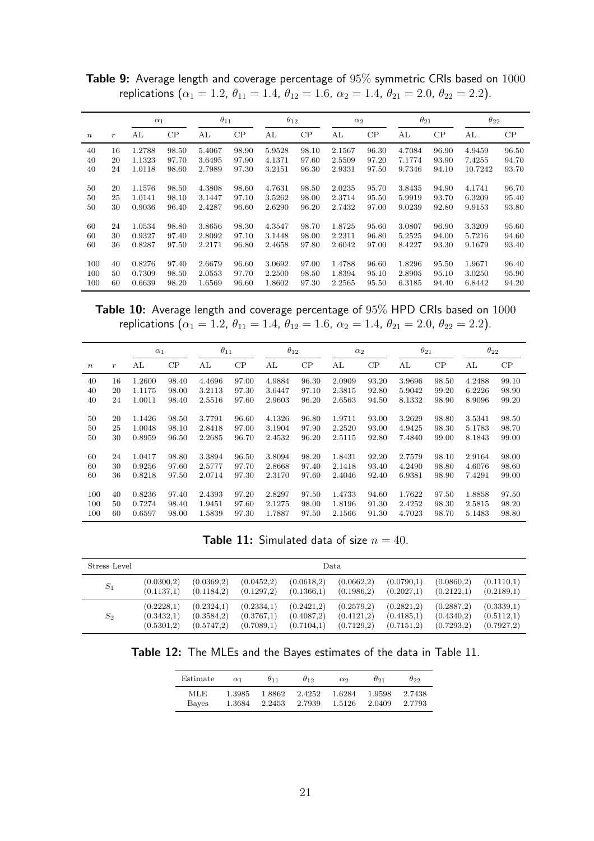|                  |                  | $\alpha_1$ |       | $\theta_{11}$ |       | $\theta_{12}$ |       | $\alpha_2$ |       | $\theta_{21}$ |       | $\theta_{22}$ |       |
|------------------|------------------|------------|-------|---------------|-------|---------------|-------|------------|-------|---------------|-------|---------------|-------|
| $\boldsymbol{n}$ | $\boldsymbol{r}$ | AL         | CP    | AL            | CP    | AL            | CP    | AL         | CP    | AL            | CP    | AL            | CP    |
| 40               | 16               | 1.2788     | 98.50 | 5.4067        | 98.90 | 5.9528        | 98.10 | 2.1567     | 96.30 | 4.7084        | 96.90 | 4.9459        | 96.50 |
| 40               | 20               | 1.1323     | 97.70 | 3.6495        | 97.90 | 4.1371        | 97.60 | 2.5509     | 97.20 | 7.1774        | 93.90 | 7.4255        | 94.70 |
| 40               | 24               | 1.0118     | 98.60 | 2.7989        | 97.30 | 3.2151        | 96.30 | 2.9331     | 97.50 | 9.7346        | 94.10 | 10.7242       | 93.70 |
|                  |                  |            |       |               |       |               |       |            |       |               |       |               |       |
| 50               | 20               | 1.1576     | 98.50 | 4.3808        | 98.60 | 4.7631        | 98.50 | 2.0235     | 95.70 | 3.8435        | 94.90 | 4.1741        | 96.70 |
| 50               | 25               | 1.0141     | 98.10 | 3.1447        | 97.10 | 3.5262        | 98.00 | 2.3714     | 95.50 | 5.9919        | 93.70 | 6.3209        | 95.40 |
| 50               | 30               | 0.9036     | 96.40 | 2.4287        | 96.60 | 2.6290        | 96.20 | 2.7432     | 97.00 | 9.0239        | 92.80 | 9.9153        | 93.80 |
|                  |                  |            |       |               |       |               |       |            |       |               |       |               |       |
| 60               | 24               | 1.0534     | 98.80 | 3.8656        | 98.30 | 4.3547        | 98.70 | 1.8725     | 95.60 | 3.0807        | 96.90 | 3.3209        | 95.60 |
| 60               | 30               | 0.9327     | 97.40 | 2.8092        | 97.10 | 3.1448        | 98.00 | 2.2311     | 96.80 | 5.2525        | 94.00 | 5.7216        | 94.60 |
| 60               | 36               | 0.8287     | 97.50 | 2.2171        | 96.80 | 2.4658        | 97.80 | 2.6042     | 97.00 | 8.4227        | 93.30 | 9.1679        | 93.40 |
|                  |                  |            |       |               |       |               |       |            |       |               |       |               |       |
| 100              | 40               | 0.8276     | 97.40 | 2.6679        | 96.60 | 3.0692        | 97.00 | 1.4788     | 96.60 | 1.8296        | 95.50 | 1.9671        | 96.40 |
| 100              | 50               | 0.7309     | 98.50 | 2.0553        | 97.70 | 2.2500        | 98.50 | 1.8394     | 95.10 | 2.8905        | 95.10 | 3.0250        | 95.90 |
| 100              | 60               | 0.6639     | 98.20 | 1.6569        | 96.60 | 1.8602        | 97.30 | 2.2565     | 95.50 | 6.3185        | 94.40 | 6.8442        | 94.20 |

Table 9: Average length and coverage percentage of 95% symmetric CRIs based on 1000 replications ( $\alpha_1 = 1.2$ ,  $\theta_{11} = 1.4$ ,  $\theta_{12} = 1.6$ ,  $\alpha_2 = 1.4$ ,  $\theta_{21} = 2.0$ ,  $\theta_{22} = 2.2$ ).

Table 10: Average length and coverage percentage of 95% HPD CRIs based on 1000 replications ( $\alpha_1 = 1.2$ ,  $\theta_{11} = 1.4$ ,  $\theta_{12} = 1.6$ ,  $\alpha_2 = 1.4$ ,  $\theta_{21} = 2.0$ ,  $\theta_{22} = 2.2$ ).

|                  |                  | $\alpha_1$ |          | $\theta_{11}$ |       | $\theta_{12}$ |       | $\alpha_2$ |       | $\theta_{21}$ |       | $\theta_{22}$ |       |
|------------------|------------------|------------|----------|---------------|-------|---------------|-------|------------|-------|---------------|-------|---------------|-------|
| $\boldsymbol{n}$ | $\boldsymbol{r}$ | AL         | $\rm CP$ | AL            | CP    | AL            | CP    | АL         | CP    | AL            | CP    | AL            | CP    |
| 40               | 16               | 1.2600     | 98.40    | 4.4696        | 97.00 | 4.9884        | 96.30 | 2.0909     | 93.20 | 3.9696        | 98.50 | 4.2488        | 99.10 |
| 40               | 20               | 1.1175     | 98.00    | 3.2113        | 97.30 | 3.6447        | 97.10 | 2.3815     | 92.80 | 5.9042        | 99.20 | 6.2226        | 98.90 |
| 40               | 24               | 1.0011     | 98.40    | 2.5516        | 97.60 | 2.9603        | 96.20 | 2.6563     | 94.50 | 8.1332        | 98.90 | 8.9096        | 99.20 |
|                  |                  |            |          |               |       |               |       |            |       |               |       |               |       |
| 50               | 20               | 1.1426     | 98.50    | 3.7791        | 96.60 | 4.1326        | 96.80 | 1.9711     | 93.00 | 3.2629        | 98.80 | 3.5341        | 98.50 |
| 50               | 25               | 1.0048     | 98.10    | 2.8418        | 97.00 | 3.1904        | 97.90 | 2.2520     | 93.00 | 4.9425        | 98.30 | 5.1783        | 98.70 |
| 50               | 30               | 0.8959     | 96.50    | 2.2685        | 96.70 | 2.4532        | 96.20 | 2.5115     | 92.80 | 7.4840        | 99.00 | 8.1843        | 99.00 |
|                  |                  |            |          |               |       |               |       |            |       |               |       |               |       |
| 60               | 24               | 1.0417     | 98.80    | 3.3894        | 96.50 | 3.8094        | 98.20 | 1.8431     | 92.20 | 2.7579        | 98.10 | 2.9164        | 98.00 |
| 60               | 30               | 0.9256     | 97.60    | 2.5777        | 97.70 | 2.8668        | 97.40 | 2.1418     | 93.40 | 4.2490        | 98.80 | 4.6076        | 98.60 |
| 60               | 36               | 0.8218     | 97.50    | 2.0714        | 97.30 | 2.3170        | 97.60 | 2.4046     | 92.40 | 6.9381        | 98.90 | 7.4291        | 99.00 |
|                  |                  |            |          |               |       |               |       |            |       |               |       |               |       |
| 100              | 40               | 0.8236     | 97.40    | 2.4393        | 97.20 | 2.8297        | 97.50 | 1.4733     | 94.60 | 1.7622        | 97.50 | 1.8858        | 97.50 |
| 100              | 50               | 0.7274     | 98.40    | 1.9451        | 97.60 | 2.1275        | 98.00 | 1.8196     | 91.30 | 2.4252        | 98.30 | 2.5815        | 98.20 |
| 100              | 60               | 0.6597     | 98.00    | 1.5839        | 97.30 | 1.7887        | 97.50 | 2.1566     | 91.30 | 4.7023        | 98.70 | 5.1483        | 98.80 |

**Table 11:** Simulated data of size  $n = 40$ .

| Stress Level |             |             |             |             | Data        |             |             |            |
|--------------|-------------|-------------|-------------|-------------|-------------|-------------|-------------|------------|
| $S_1$        | (0.0300, 2) | (0.0369, 2) | (0.0452, 2) | (0.0618, 2) | (0.0662, 2) | (0.0790,1)  | (0.0860, 2) | (0.1110,1) |
|              | (0.1137.1)  | (0.1184.2)  | (0.1297,2)  | (0.1366, 1) | (0.1986, 2) | (0.2027,1)  | (0.2122,1)  | (0.2189,1) |
| $S_2$        | (0.2228,1)  | (0.2324,1)  | (0.2334,1)  | (0.2421,2)  | (0.2579, 2) | (0.2821,2)  | (0.2887, 2) | (0.3339,1) |
|              | (0.3432,1)  | (0.3584, 2) | (0.3767,1)  | (0.4087,2)  | (0.4121,2)  | (0.4185,1)  | (0.4340.2)  | (0.5112,1) |
|              | (0.5301,2)  | (0.5747.2)  | (0.7089,1)  | (0.7104,1)  | (0.7129,2)  | (0.7151, 2) | (0.7293.2)  | (0.7927,2) |

Table 12: The MLEs and the Bayes estimates of the data in Table 11.

| Estimate | $\alpha_1$ | $\theta_{11}$ | $\theta_{12}$ | $\alpha$ | $\theta$ 21 | ፀიი    |
|----------|------------|---------------|---------------|----------|-------------|--------|
| MLE.     | 1.3985     | 1.8862        | 2.4252        | 1.6284   | 1.9598      | 2.7438 |
| Bayes    | 1.3684     | 2.2453        | 2.7939        | 1.5126   | 2.0409      | 2.7793 |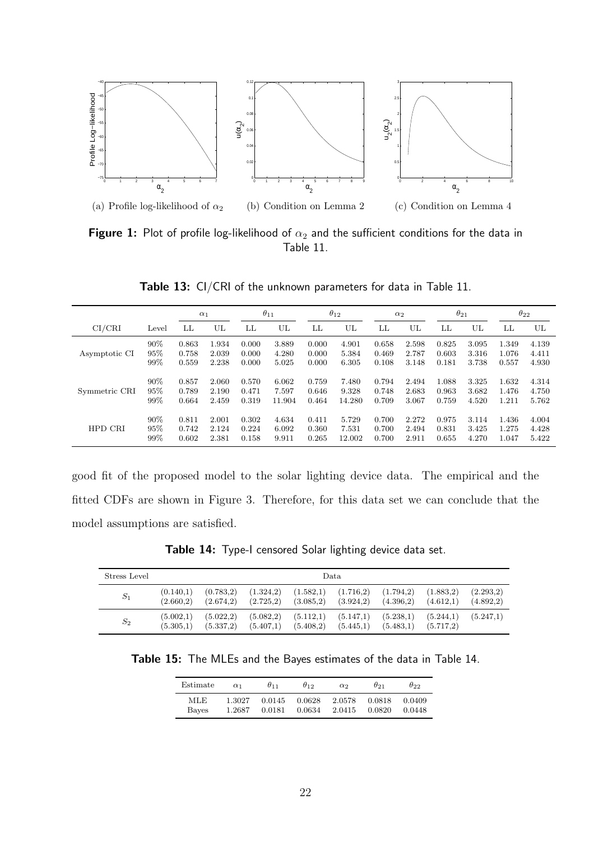

Figure 1: Plot of profile log-likelihood of  $\alpha_2$  and the sufficient conditions for the data in Table 11.

Table 13: CI/CRI of the unknown parameters for data in Table 11.

|               |       | $\alpha_1$ |       |       | $\theta_{11}$ |       | $\theta_{12}$ |       | $\alpha_2$ |       | $\theta_{21}$ |       | $\theta_{22}$ |
|---------------|-------|------------|-------|-------|---------------|-------|---------------|-------|------------|-------|---------------|-------|---------------|
| CI/CRI        | Level | LL         | UL    | LL    | UL            | LL    | UL            | LL    | UL         | LL    | UL            | LL    | UL            |
| Asymptotic CI | 90%   | 0.863      | 1.934 | 0.000 | 3.889         | 0.000 | 4.901         | 0.658 | 2.598      | 0.825 | 3.095         | 1.349 | 4.139         |
|               | 95%   | 0.758      | 2.039 | 0.000 | 4.280         | 0.000 | 5.384         | 0.469 | 2.787      | 0.603 | 3.316         | 1.076 | 4.411         |
|               | 99%   | 0.559      | 2.238 | 0.000 | 5.025         | 0.000 | 6.305         | 0.108 | 3.148      | 0.181 | 3.738         | 0.557 | 4.930         |
| Symmetric CRI | 90%   | 0.857      | 2.060 | 0.570 | 6.062         | 0.759 | 7.480         | 0.794 | 2.494      | 1.088 | 3.325         | 1.632 | 4.314         |
|               | 95%   | 0.789      | 2.190 | 0.471 | 7.597         | 0.646 | 9.328         | 0.748 | 2.683      | 0.963 | 3.682         | 1.476 | 4.750         |
|               | 99%   | 0.664      | 2.459 | 0.319 | 11.904        | 0.464 | 14.280        | 0.709 | 3.067      | 0.759 | 4.520         | 1.211 | 5.762         |
| HPD CRI       | 90%   | 0.811      | 2.001 | 0.302 | 4.634         | 0.411 | 5.729         | 0.700 | 2.272      | 0.975 | 3.114         | 1.436 | 4.004         |
|               | 95%   | 0.742      | 2.124 | 0.224 | 6.092         | 0.360 | 7.531         | 0.700 | 2.494      | 0.831 | 3.425         | 1.275 | 4.428         |
|               | 99%   | 0.602      | 2.381 | 0.158 | 9.911         | 0.265 | 12.002        | 0.700 | 2.911      | 0.655 | 4.270         | 1.047 | 5.422         |

good fit of the proposed model to the solar lighting device data. The empirical and the fitted CDFs are shown in Figure 3. Therefore, for this data set we can conclude that the model assumptions are satisfied.

Table 14: Type-I censored Solar lighting device data set.

| Stress Level | Data.                  |                        |                          |                        |                         |                        |                        |                        |  |  |  |
|--------------|------------------------|------------------------|--------------------------|------------------------|-------------------------|------------------------|------------------------|------------------------|--|--|--|
| $S_1$        | (0.140,1)<br>(2.660.2) | (0.783,2)<br>(2.674,2) | (1.324, 2)<br>(2.725, 2) | (1.582,1)<br>(3.085,2) | (1.716,2)<br>(3.924, 2) | (1.794,2)<br>(4.396,2) | (1.883,2)<br>(4.612.1) | (2.293,2)<br>(4.892,2) |  |  |  |
| $S_2$        | (5.002,1)<br>(5.305,1) | (5.022,2)<br>(5.337,2) | (5.082, 2)<br>(5.407,1)  | (5.112,1)<br>(5.408,2) | (5.147,1)<br>(5.445,1)  | (5.238,1)<br>(5.483,1) | (5.244,1)<br>(5.717,2) | (5.247.1)              |  |  |  |

Table 15: The MLEs and the Bayes estimates of the data in Table 14.

| Estimate | $\alpha_1$ | $\theta$ <sub>11</sub> | $\theta_{12}$ | $\alpha$ <sup>2</sup> | $\theta$ 21 | მიი    |
|----------|------------|------------------------|---------------|-----------------------|-------------|--------|
| MLE.     | 1.3027     | 0.0145                 | 0.0628        | 2.0578                | 0.0818      | 0.0409 |
| Bayes    | 1.2687     | 0.0181                 | 0.0634        | 2.0415                | 0.0820      | 0.0448 |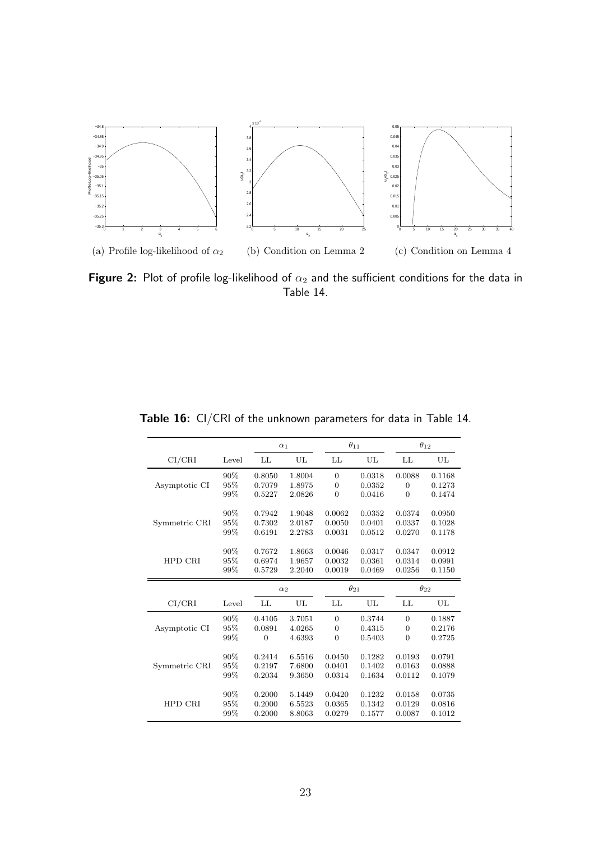

Figure 2: Plot of profile log-likelihood of  $\alpha_2$  and the sufficient conditions for the data in Table 14.

|               |       | $\alpha_1$     |        |                | $\theta_{11}$ |                | $\theta_{12}$ |  |
|---------------|-------|----------------|--------|----------------|---------------|----------------|---------------|--|
| CI/CHI        | Level | LL             | UL     | LL             | UL            | LL             | UL            |  |
|               | 90%   | 0.8050         | 1.8004 | $\overline{0}$ | 0.0318        | 0.0088         | 0.1168        |  |
| Asymptotic CI | 95%   | 0.7079         | 1.8975 | $\overline{0}$ | 0.0352        | $\overline{0}$ | 0.1273        |  |
|               | 99%   | 0.5227         | 2.0826 | $\Omega$       | 0.0416        | $\Omega$       | 0.1474        |  |
|               | 90%   | 0.7942         | 1.9048 | 0.0062         | 0.0352        | 0.0374         | 0.0950        |  |
| Symmetric CRI | 95%   | 0.7302         | 2.0187 | 0.0050         | 0.0401        | 0.0337         | 0.1028        |  |
|               | 99%   | 0.6191         | 2.2783 | 0.0031         | 0.0512        | 0.0270         | 0.1178        |  |
|               | 90%   | 0.7672         | 1.8663 | 0.0046         | 0.0317        | 0.0347         | 0.0912        |  |
| HPD CRI       | 95%   | 0.6974         | 1.9657 | 0.0032         | 0.0361        | 0.0314         | 0.0991        |  |
|               | 99%   | 0.5729         | 2.2040 | 0.0019         | 0.0469        | 0.0256         | 0.1150        |  |
|               |       | $\alpha_2$     |        |                |               |                |               |  |
|               |       |                |        | $\theta_{21}$  |               |                | $\theta_{22}$ |  |
| CI/CHI        | Level | LL             | UL     | LL             | UL            | LL             | UL            |  |
|               | 90%   | 0.4105         | 3.7051 | $\overline{0}$ | 0.3744        | $\overline{0}$ | 0.1887        |  |
| Asymptotic CI | 95%   | 0.0891         | 4.0265 | $\overline{0}$ | 0.4315        | $\mathbf{0}$   | 0.2176        |  |
|               | 99%   | $\overline{0}$ | 4.6393 | $\Omega$       | 0.5403        | $\overline{0}$ | 0.2725        |  |
|               | 90%   | 0.2414         | 6.5516 | 0.0450         | 0.1282        | 0.0193         | 0.0791        |  |
| Symmetric CRI | 95%   | 0.2197         | 7.6800 | 0.0401         | 0.1402        | 0.0163         | 0.0888        |  |
|               | 99%   | 0.2034         | 9.3650 | 0.0314         | 0.1634        | 0.0112         | 0.1079        |  |
|               | 90%   | 0.2000         | 5.1449 | 0.0420         | 0.1232        | 0.0158         | 0.0735        |  |
| HPD CRI       | 95%   | 0.2000         | 6.5523 | 0.0365         | 0.1342        | 0.0129         | 0.0816        |  |

Table 16: CI/CRI of the unknown parameters for data in Table 14.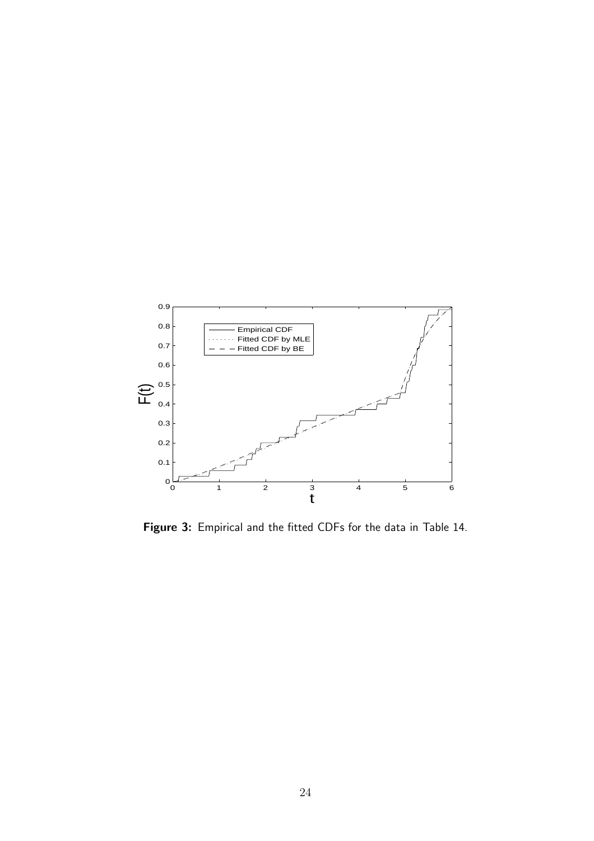

Figure 3: Empirical and the fitted CDFs for the data in Table 14.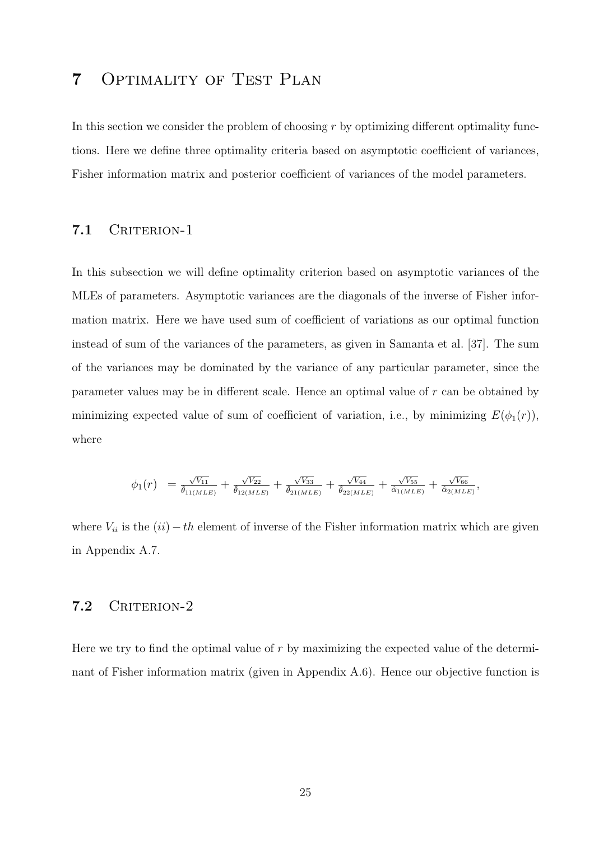# 7 Optimality of Test Plan

In this section we consider the problem of choosing  $r$  by optimizing different optimality functions. Here we define three optimality criteria based on asymptotic coefficient of variances, Fisher information matrix and posterior coefficient of variances of the model parameters.

### 7.1 CRITERION-1

In this subsection we will define optimality criterion based on asymptotic variances of the MLEs of parameters. Asymptotic variances are the diagonals of the inverse of Fisher information matrix. Here we have used sum of coefficient of variations as our optimal function instead of sum of the variances of the parameters, as given in Samanta et al. [37]. The sum of the variances may be dominated by the variance of any particular parameter, since the parameter values may be in different scale. Hence an optimal value of r can be obtained by minimizing expected value of sum of coefficient of variation, i.e., by minimizing  $E(\phi_1(r))$ , where

$$
\phi_1(r) = \frac{\sqrt{V_{11}}}{\hat{\theta}_{11(MLE)}} + \frac{\sqrt{V_{22}}}{\hat{\theta}_{12(MLE)}} + \frac{\sqrt{V_{33}}}{\hat{\theta}_{21(MLE)}} + \frac{\sqrt{V_{44}}}{\hat{\theta}_{22(MLE)}} + \frac{\sqrt{V_{55}}}{\hat{\alpha}_{1(MLE)}} + \frac{\sqrt{V_{66}}}{\hat{\alpha}_{2(MLE)}},
$$

where  $V_{ii}$  is the  $(ii) - th$  element of inverse of the Fisher information matrix which are given in Appendix A.7.

### 7.2 CRITERION-2

Here we try to find the optimal value of  $r$  by maximizing the expected value of the determinant of Fisher information matrix (given in Appendix A.6). Hence our objective function is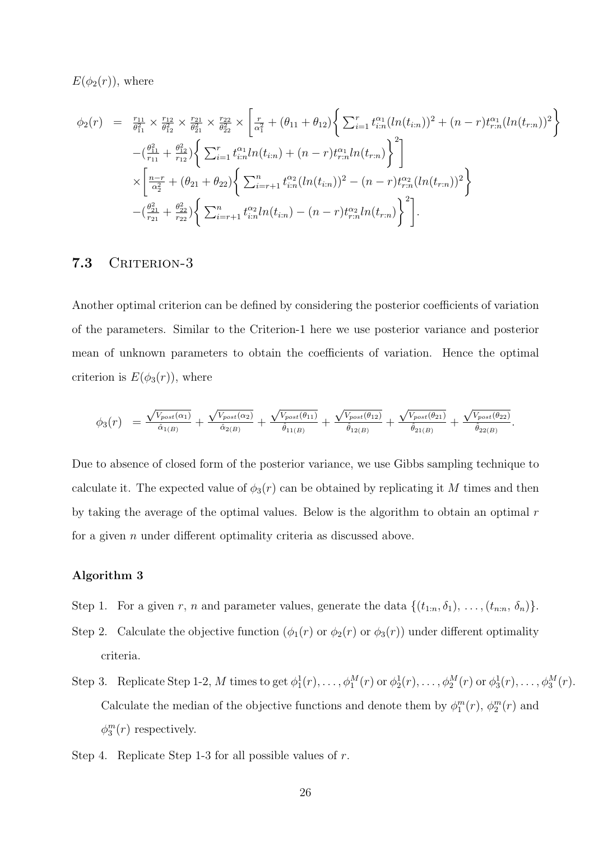$E(\phi_2(r))$ , where

$$
\phi_2(r) = \frac{r_{11}}{\theta_{11}^2} \times \frac{r_{12}}{\theta_{12}^2} \times \frac{r_{21}}{\theta_{21}^2} \times \frac{r_{22}}{\theta_{22}^2} \times \left[ \frac{r}{\alpha_1^2} + (\theta_{11} + \theta_{12}) \left\{ \sum_{i=1}^r t_{i:n}^{\alpha_1} (ln(t_{i:n}))^2 + (n-r) t_{r:n}^{\alpha_1} (ln(t_{r:n}))^2 \right\} \right] \n- \left( \frac{\theta_{11}^2}{r_{11}} + \frac{\theta_{12}^2}{r_{12}} \right) \left\{ \sum_{i=1}^r t_{i:n}^{\alpha_1} ln(t_{i:n}) + (n-r) t_{r:n}^{\alpha_1} ln(t_{r:n}) \right\}^2 \right] \n\times \left[ \frac{n-r}{\alpha_2^2} + (\theta_{21} + \theta_{22}) \left\{ \sum_{i=r+1}^n t_{i:n}^{\alpha_2} (ln(t_{i:n}))^2 - (n-r) t_{r:n}^{\alpha_2} (ln(t_{r:n}))^2 \right\} \right. \n- \left( \frac{\theta_{21}^2}{r_{21}} + \frac{\theta_{22}^2}{r_{22}} \right) \left\{ \sum_{i=r+1}^n t_{i:n}^{\alpha_2} ln(t_{i:n}) - (n-r) t_{r:n}^{\alpha_2} ln(t_{r:n}) \right\}^2 \right].
$$

### 7.3 CRITERION-3

Another optimal criterion can be defined by considering the posterior coefficients of variation of the parameters. Similar to the Criterion-1 here we use posterior variance and posterior mean of unknown parameters to obtain the coefficients of variation. Hence the optimal criterion is  $E(\phi_3(r))$ , where

$$
\phi_3(r) = \frac{\sqrt{V_{post}(\alpha_1)}}{\hat{\alpha}_{1(B)}} + \frac{\sqrt{V_{post}(\alpha_2)}}{\hat{\alpha}_{2(B)}} + \frac{\sqrt{V_{post}(\theta_{11})}}{\hat{\theta}_{11(B)}} + \frac{\sqrt{V_{post}(\theta_{12})}}{\hat{\theta}_{12(B)}} + \frac{\sqrt{V_{post}(\theta_{21})}}{\hat{\theta}_{21(B)}} + \frac{\sqrt{V_{post}(\theta_{22})}}{\hat{\theta}_{22(B)}}.
$$

Due to absence of closed form of the posterior variance, we use Gibbs sampling technique to calculate it. The expected value of  $\phi_3(r)$  can be obtained by replicating it M times and then by taking the average of the optimal values. Below is the algorithm to obtain an optimal r for a given  $n$  under different optimality criteria as discussed above.

#### Algorithm 3

- Step 1. For a given r, n and parameter values, generate the data  $\{(t_{1:n}, \delta_1), \ldots, (t_{n:n}, \delta_n)\}.$
- Step 2. Calculate the objective function  $(\phi_1(r)$  or  $\phi_2(r)$  or  $\phi_3(r)$ ) under different optimality criteria.
- Step 3. Replicate Step 1-2, M times to get  $\phi_1^1(r), \ldots, \phi_1^M(r)$  or  $\phi_2^1(r), \ldots, \phi_2^M(r)$  or  $\phi_3^1(r), \ldots, \phi_3^M(r)$ . Calculate the median of the objective functions and denote them by  $\phi_1^m(r)$ ,  $\phi_2^m(r)$  and  $\phi_3^m(r)$  respectively.
- Step 4. Replicate Step 1-3 for all possible values of r.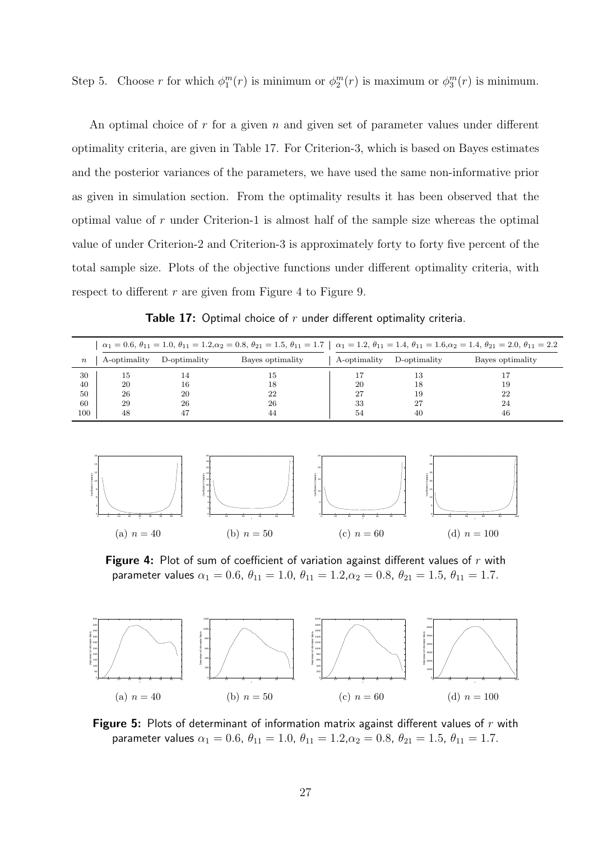Step 5. Choose r for which  $\phi_1^m(r)$  is minimum or  $\phi_2^m(r)$  is maximum or  $\phi_3^m(r)$  is minimum.

An optimal choice of  $r$  for a given  $n$  and given set of parameter values under different optimality criteria, are given in Table 17. For Criterion-3, which is based on Bayes estimates and the posterior variances of the parameters, we have used the same non-informative prior as given in simulation section. From the optimality results it has been observed that the optimal value of r under Criterion-1 is almost half of the sample size whereas the optimal value of under Criterion-2 and Criterion-3 is approximately forty to forty five percent of the total sample size. Plots of the objective functions under different optimality criteria, with respect to different  $r$  are given from Figure 4 to Figure 9.

|  |  |  |  |  |  | <b>Table 17:</b> Optimal choice of $r$ under different optimality criteria. |  |
|--|--|--|--|--|--|-----------------------------------------------------------------------------|--|
|--|--|--|--|--|--|-----------------------------------------------------------------------------|--|

|                  |              |              |                  | $\alpha_1 = 0.6, \theta_{11} = 1.0, \theta_{11} = 1.2, \alpha_2 = 0.8, \theta_{21} = 1.5, \theta_{11} = 1.7 \mid \alpha_1 = 1.2, \theta_{11} = 1.4, \theta_{11} = 1.6, \alpha_2 = 1.4, \theta_{21} = 2.0, \theta_{11} = 2.2$ |              |                  |  |
|------------------|--------------|--------------|------------------|------------------------------------------------------------------------------------------------------------------------------------------------------------------------------------------------------------------------------|--------------|------------------|--|
| $\boldsymbol{n}$ | A-optimality | D-optimality | Bayes optimality | A-optimality                                                                                                                                                                                                                 | D-optimality | Bayes optimality |  |
| 30               | 15           |              | 15               |                                                                                                                                                                                                                              | 13           |                  |  |
| 40               | 20           | 16           | 18               | 20                                                                                                                                                                                                                           | 18           | 19               |  |
| 50               | 26           | 20           | 22               | 27                                                                                                                                                                                                                           | 19           | 22               |  |
| 60               | 29           | 26           | 26               | 33                                                                                                                                                                                                                           | 27           | 24               |  |
| 100              | 48           |              | 44               | 54                                                                                                                                                                                                                           | 40           | 46               |  |



Figure 4: Plot of sum of coefficient of variation against different values of  $r$  with parameter values  $\alpha_1 = 0.6$ ,  $\theta_{11} = 1.0$ ,  $\theta_{11} = 1.2$ ,  $\alpha_2 = 0.8$ ,  $\theta_{21} = 1.5$ ,  $\theta_{11} = 1.7$ .



Figure 5: Plots of determinant of information matrix against different values of  $r$  with parameter values  $\alpha_1 = 0.6$ ,  $\theta_{11} = 1.0$ ,  $\theta_{11} = 1.2$ ,  $\alpha_2 = 0.8$ ,  $\theta_{21} = 1.5$ ,  $\theta_{11} = 1.7$ .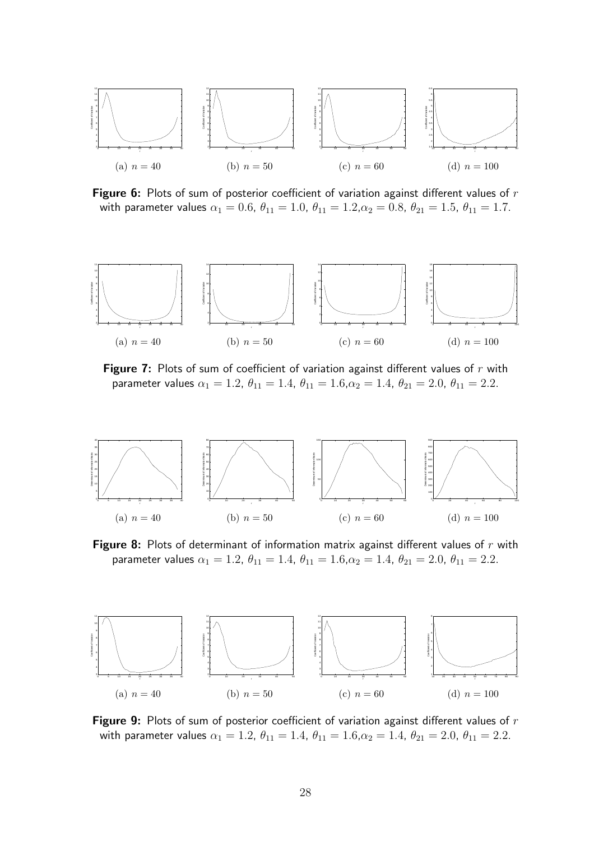

Figure 6: Plots of sum of posterior coefficient of variation against different values of  $r$ with parameter values  $\alpha_1 = 0.6$ ,  $\theta_{11} = 1.0$ ,  $\theta_{11} = 1.2$ ,  $\alpha_2 = 0.8$ ,  $\theta_{21} = 1.5$ ,  $\theta_{11} = 1.7$ .



**Figure 7:** Plots of sum of coefficient of variation against different values of  $r$  with parameter values  $\alpha_1 = 1.2$ ,  $\theta_{11} = 1.4$ ,  $\theta_{11} = 1.6$ ,  $\alpha_2 = 1.4$ ,  $\theta_{21} = 2.0$ ,  $\theta_{11} = 2.2$ .



Figure 8: Plots of determinant of information matrix against different values of  $r$  with parameter values  $\alpha_1 = 1.2$ ,  $\theta_{11} = 1.4$ ,  $\theta_{11} = 1.6$ ,  $\alpha_2 = 1.4$ ,  $\theta_{21} = 2.0$ ,  $\theta_{11} = 2.2$ .



Figure 9: Plots of sum of posterior coefficient of variation against different values of  $r$ with parameter values  $\alpha_1 = 1.2$ ,  $\theta_{11} = 1.4$ ,  $\theta_{11} = 1.6$ ,  $\alpha_2 = 1.4$ ,  $\theta_{21} = 2.0$ ,  $\theta_{11} = 2.2$ .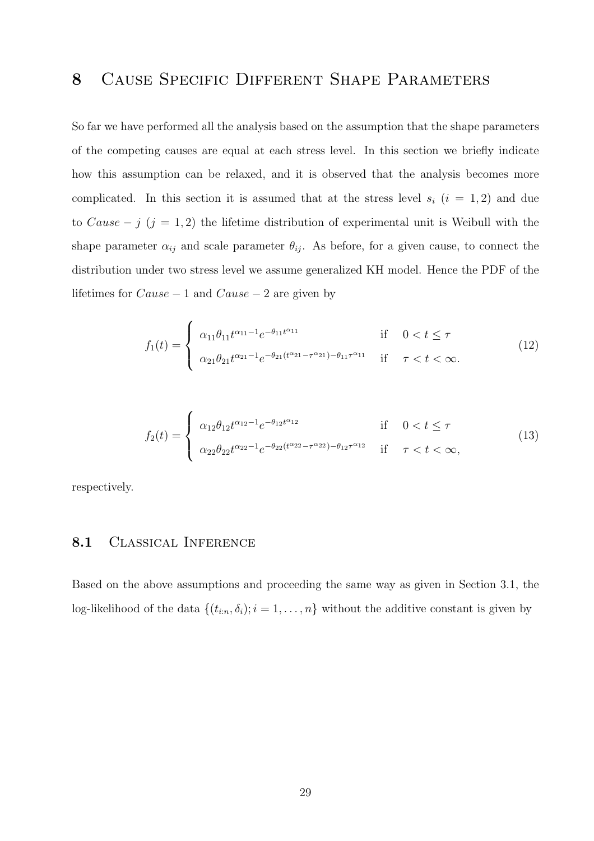# 8 Cause Specific Different Shape Parameters

So far we have performed all the analysis based on the assumption that the shape parameters of the competing causes are equal at each stress level. In this section we briefly indicate how this assumption can be relaxed, and it is observed that the analysis becomes more complicated. In this section it is assumed that at the stress level  $s_i$   $(i = 1, 2)$  and due to Cause – j  $(j = 1, 2)$  the lifetime distribution of experimental unit is Weibull with the shape parameter  $\alpha_{ij}$  and scale parameter  $\theta_{ij}$ . As before, for a given cause, to connect the distribution under two stress level we assume generalized KH model. Hence the PDF of the lifetimes for  $Cause - 1$  and  $Cause - 2$  are given by

$$
f_1(t) = \begin{cases} \alpha_{11}\theta_{11}t^{\alpha_{11}-1}e^{-\theta_{11}t^{\alpha_{11}}}\n\text{if } 0 < t \le \tau \\
\alpha_{21}\theta_{21}t^{\alpha_{21}-1}e^{-\theta_{21}(t^{\alpha_{21}}-\tau^{\alpha_{21}})-\theta_{11}\tau^{\alpha_{11}}}\n\text{if } \tau < t < \infty.\n\end{cases}
$$
\n(12)

$$
f_2(t) = \begin{cases} \alpha_{12}\theta_{12}t^{\alpha_{12}-1}e^{-\theta_{12}t^{\alpha_{12}}}& \text{if } 0 < t \le \tau\\ \alpha_{22}\theta_{22}t^{\alpha_{22}-1}e^{-\theta_{22}(t^{\alpha_{22}}-\tau^{\alpha_{22}})-\theta_{12}\tau^{\alpha_{12}}} & \text{if } \tau < t < \infty, \end{cases} \tag{13}
$$

respectively.

### 8.1 Classical Inference

Based on the above assumptions and proceeding the same way as given in Section 3.1, the log-likelihood of the data  $\{(t_{i:n}, \delta_i); i = 1, \ldots, n\}$  without the additive constant is given by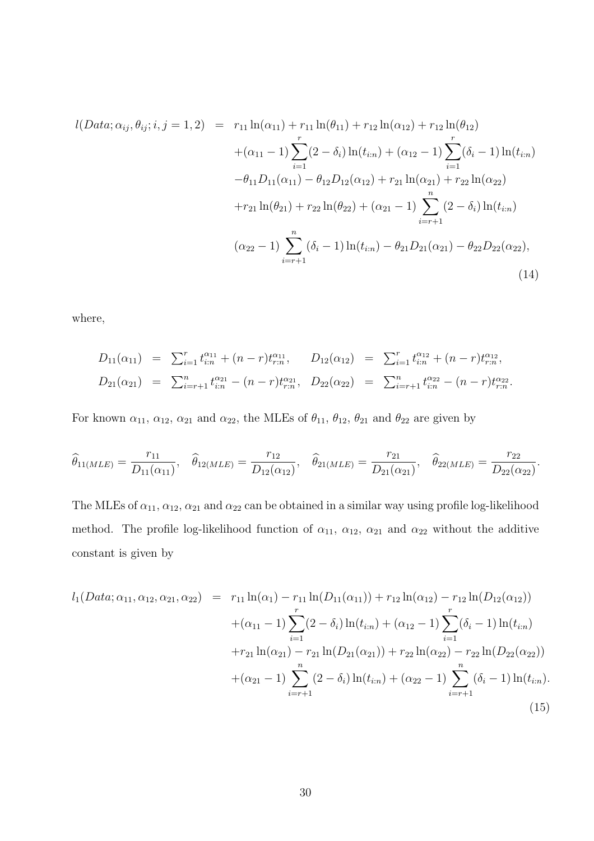$$
l(Data; \alpha_{ij}, \theta_{ij}; i, j = 1, 2) = r_{11} \ln(\alpha_{11}) + r_{11} \ln(\theta_{11}) + r_{12} \ln(\alpha_{12}) + r_{12} \ln(\theta_{12})
$$
  
+  $(\alpha_{11} - 1) \sum_{i=1}^{r} (2 - \delta_i) \ln(t_{i:n}) + (\alpha_{12} - 1) \sum_{i=1}^{r} (\delta_i - 1) \ln(t_{i:n})$   
-  $\theta_{11} D_{11}(\alpha_{11}) - \theta_{12} D_{12}(\alpha_{12}) + r_{21} \ln(\alpha_{21}) + r_{22} \ln(\alpha_{22})$   
+  $r_{21} \ln(\theta_{21}) + r_{22} \ln(\theta_{22}) + (\alpha_{21} - 1) \sum_{i=r+1}^{n} (2 - \delta_i) \ln(t_{i:n})$   
 $(\alpha_{22} - 1) \sum_{i=r+1}^{n} (\delta_i - 1) \ln(t_{i:n}) - \theta_{21} D_{21}(\alpha_{21}) - \theta_{22} D_{22}(\alpha_{22}),$  (14)

where,

$$
D_{11}(\alpha_{11}) = \sum_{i=1}^{r} t_{i:n}^{\alpha_{11}} + (n-r)t_{r:n}^{\alpha_{11}}, \qquad D_{12}(\alpha_{12}) = \sum_{i=1}^{r} t_{i:n}^{\alpha_{12}} + (n-r)t_{r:n}^{\alpha_{12}},
$$
  
\n
$$
D_{21}(\alpha_{21}) = \sum_{i=r+1}^{n} t_{i:n}^{\alpha_{21}} - (n-r)t_{r:n}^{\alpha_{21}}, \qquad D_{22}(\alpha_{22}) = \sum_{i=r+1}^{n} t_{i:n}^{\alpha_{22}} - (n-r)t_{r:n}^{\alpha_{22}}.
$$

For known  $\alpha_{11}$ ,  $\alpha_{12}$ ,  $\alpha_{21}$  and  $\alpha_{22}$ , the MLEs of  $\theta_{11}$ ,  $\theta_{12}$ ,  $\theta_{21}$  and  $\theta_{22}$  are given by

$$
\widehat{\theta}_{11(MLE)} = \frac{r_{11}}{D_{11}(\alpha_{11})}, \quad \widehat{\theta}_{12(MLE)} = \frac{r_{12}}{D_{12}(\alpha_{12})}, \quad \widehat{\theta}_{21(MLE)} = \frac{r_{21}}{D_{21}(\alpha_{21})}, \quad \widehat{\theta}_{22(MLE)} = \frac{r_{22}}{D_{22}(\alpha_{22})}.
$$

The MLEs of  $\alpha_{11}, \alpha_{12}, \alpha_{21}$  and  $\alpha_{22}$  can be obtained in a similar way using profile log-likelihood method. The profile log-likelihood function of  $\alpha_{11}$ ,  $\alpha_{12}$ ,  $\alpha_{21}$  and  $\alpha_{22}$  without the additive constant is given by

$$
l_1(Data; \alpha_{11}, \alpha_{12}, \alpha_{21}, \alpha_{22}) = r_{11} \ln(\alpha_1) - r_{11} \ln(D_{11}(\alpha_{11})) + r_{12} \ln(\alpha_{12}) - r_{12} \ln(D_{12}(\alpha_{12}))
$$
  
+  $(\alpha_{11} - 1) \sum_{i=1}^r (2 - \delta_i) \ln(t_{i:n}) + (\alpha_{12} - 1) \sum_{i=1}^r (\delta_i - 1) \ln(t_{i:n})$   
+  $r_{21} \ln(\alpha_{21}) - r_{21} \ln(D_{21}(\alpha_{21})) + r_{22} \ln(\alpha_{22}) - r_{22} \ln(D_{22}(\alpha_{22}))$   
+  $(\alpha_{21} - 1) \sum_{i=r+1}^n (2 - \delta_i) \ln(t_{i:n}) + (\alpha_{22} - 1) \sum_{i=r+1}^n (\delta_i - 1) \ln(t_{i:n}).$  (15)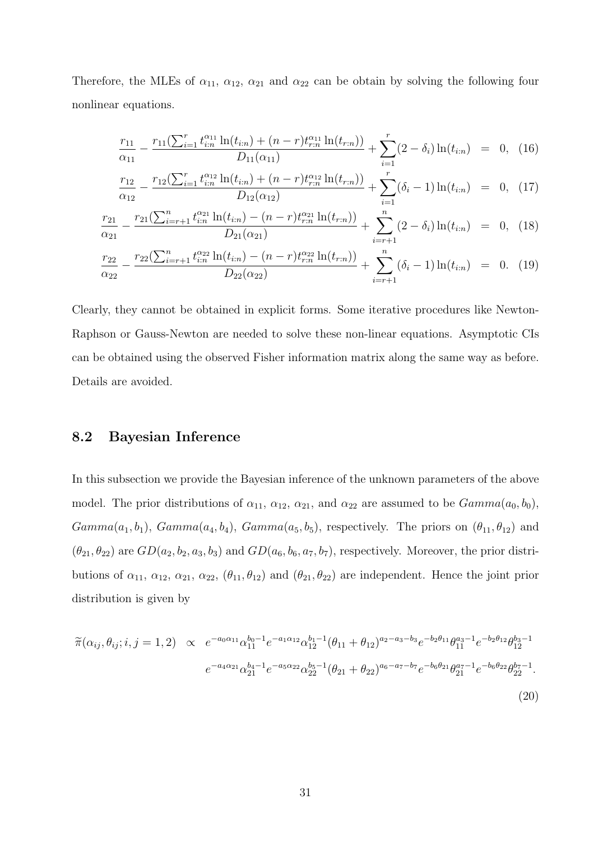Therefore, the MLEs of  $\alpha_{11}$ ,  $\alpha_{12}$ ,  $\alpha_{21}$  and  $\alpha_{22}$  can be obtain by solving the following four nonlinear equations.

$$
\frac{r_{11}}{\alpha_{11}} - \frac{r_{11}(\sum_{i=1}^r t_{i:n}^{\alpha_{11}} \ln(t_{i:n}) + (n-r)t_{r,n}^{\alpha_{11}} \ln(t_{r:n}))}{D_{11}(\alpha_{11})} + \sum_{i=1}^r (2-\delta_i) \ln(t_{i:n}) = 0, \tag{16}
$$

$$
\frac{r_{12}}{\alpha_{12}} - \frac{r_{12}(\sum_{i=1}^r t_{i:n}^{\alpha_{12}} \ln(t_{i:n}) + (n-r)t_{r:n}^{\alpha_{12}} \ln(t_{r:n}))}{D_{12}(\alpha_{12})} + \sum_{i=1}^r (\delta_i - 1) \ln(t_{i:n}) = 0, \tag{17}
$$

$$
\frac{r_{21}}{\alpha_{21}} - \frac{r_{21}(\sum_{i=r+1}^n t_{i:n}^{\alpha_{21}} \ln(t_{i:n}) - (n-r)t_{r:n}^{\alpha_{21}} \ln(t_{r:n}))}{D_{21}(\alpha_{21})} + \sum_{i=r+1}^n (2-\delta_i) \ln(t_{i:n}) = 0, \tag{18}
$$

$$
\frac{r_{22}}{\alpha_{22}} - \frac{r_{22}(\sum_{i=r+1}^{n} t_{i:n}^{\alpha_{22}} \ln(t_{i:n}) - (n-r)t_{r:n}^{\alpha_{22}} \ln(t_{r:n}))}{D_{22}(\alpha_{22})} + \sum_{i=r+1}^{n} (\delta_i - 1) \ln(t_{i:n}) = 0.
$$
 (19)

Clearly, they cannot be obtained in explicit forms. Some iterative procedures like Newton-Raphson or Gauss-Newton are needed to solve these non-linear equations. Asymptotic CIs can be obtained using the observed Fisher information matrix along the same way as before. Details are avoided.

### 8.2 Bayesian Inference

In this subsection we provide the Bayesian inference of the unknown parameters of the above model. The prior distributions of  $\alpha_{11}$ ,  $\alpha_{12}$ ,  $\alpha_{21}$ , and  $\alpha_{22}$  are assumed to be  $Gamma(a_0, b_0)$ ,  $Gamma(a_1, b_1)$ ,  $Gamma(a_4, b_4)$ ,  $Gamma(a_5, b_5)$ , respectively. The priors on  $(\theta_{11}, \theta_{12})$  and  $(\theta_{21}, \theta_{22})$  are  $GD(a_2, b_2, a_3, b_3)$  and  $GD(a_6, b_6, a_7, b_7)$ , respectively. Moreover, the prior distributions of  $\alpha_{11}$ ,  $\alpha_{12}$ ,  $\alpha_{21}$ ,  $\alpha_{22}$ ,  $(\theta_{11}, \theta_{12})$  and  $(\theta_{21}, \theta_{22})$  are independent. Hence the joint prior distribution is given by

$$
\widetilde{\pi}(\alpha_{ij}, \theta_{ij}; i, j = 1, 2) \propto e^{-a_0 \alpha_{11}} \alpha_{11}^{b_0 - 1} e^{-a_1 \alpha_{12}} \alpha_{12}^{b_1 - 1} (\theta_{11} + \theta_{12})^{a_2 - a_3 - b_3} e^{-b_2 \theta_{11}} \theta_{11}^{a_3 - 1} e^{-b_2 \theta_{12}} \theta_{12}^{b_3 - 1}
$$
\n
$$
e^{-a_4 \alpha_{21}} \alpha_{21}^{b_4 - 1} e^{-a_5 \alpha_{22}} \alpha_{22}^{b_5 - 1} (\theta_{21} + \theta_{22})^{a_6 - a_7 - b_7} e^{-b_6 \theta_{21}} \theta_{21}^{a_7 - 1} e^{-b_6 \theta_{22}} \theta_{22}^{b_7 - 1}.
$$
\n(20)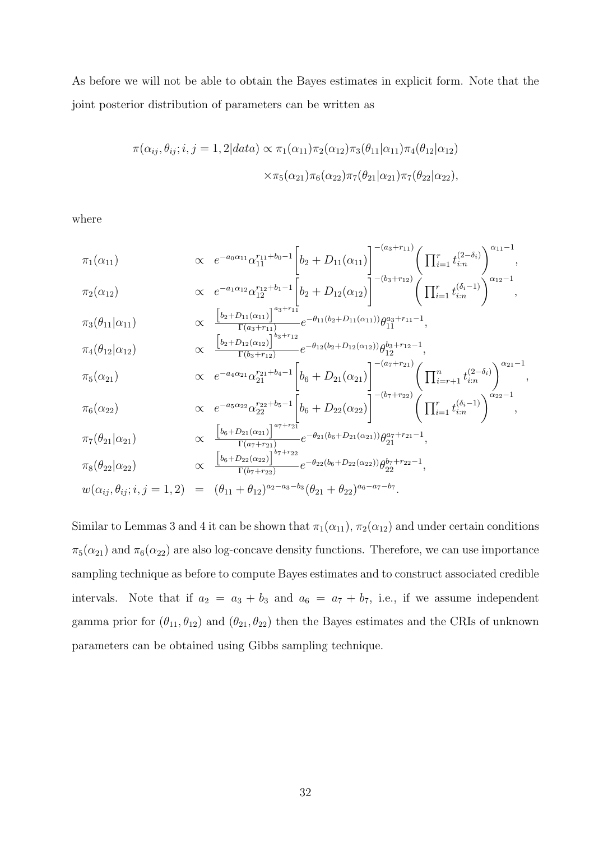As before we will not be able to obtain the Bayes estimates in explicit form. Note that the joint posterior distribution of parameters can be written as

$$
\pi(\alpha_{ij}, \theta_{ij}; i, j = 1, 2 | data) \propto \pi_1(\alpha_{11}) \pi_2(\alpha_{12}) \pi_3(\theta_{11} | \alpha_{11}) \pi_4(\theta_{12} | \alpha_{12})
$$

$$
\times \pi_5(\alpha_{21}) \pi_6(\alpha_{22}) \pi_7(\theta_{21} | \alpha_{21}) \pi_7(\theta_{22} | \alpha_{22}),
$$

where

$$
\pi_1(\alpha_{11}) \qquad \propto e^{-a_0\alpha_{11}}\alpha_{11}^{r_{11}+b_0-1} \left[b_2 + D_{11}(\alpha_{11})\right]^{-(a_3+r_{11})} \left(\prod_{i=1}^r t_{i:n}^{(2-\delta_i)}\right)^{\alpha_{11}-1},
$$
\n
$$
\pi_2(\alpha_{12}) \qquad \propto e^{-a_1\alpha_{12}}\alpha_{12}^{r_{12}+b_1-1} \left[b_2 + D_{12}(\alpha_{12})\right]^{-(b_3+r_{12})} \left(\prod_{i=1}^r t_{i:n}^{(\delta_i-1)}\right)^{\alpha_{12}-1},
$$

$$
\pi_3(\theta_{11}|\alpha_{11}) \propto \frac{\left[b_2 + D_{11}(\alpha_{11})\right]^{a_3 + r_{11}}}{\Gamma(a_3 + r_{11})} e^{-\theta_{11}(b_2 + D_{11}(\alpha_{11}))} \theta_{11}^{a_3 + r_{11} - 1},
$$
\n
$$
\left[b_2 + D_{12}(\alpha_{12})\right]^{b_3 + r_{12}} - \theta_{12}(b_2 + D_{12}(\alpha_{12})) \theta_{23} + r_{12} - 1}
$$

$$
\pi_4(\theta_{12}|\alpha_{12}) \propto \frac{\left[\frac{b_2+D_{12}(\alpha_{12})\right]}{\Gamma(b_3+r_{12})}e^{-\theta_{12}(b_2+D_{12}(\alpha_{12}))}\theta_{12}^{b_3+r_{12}-1},\right.\\ \left.\pi_5(\alpha_{21}) \propto e^{-a_4\alpha_{21}}\alpha_{21}^{r_{21}+b_4-1}\left[b_6+D_{21}(\alpha_{21})\right]^{- (a_7+r_{21})}\left(\prod_{i=r+1}^n t_{i:n}^{(2-\delta_i)}\right)^{\alpha_{21}-1},
$$

$$
\pi_6(\alpha_{22}) \qquad \qquad \alpha \quad e^{-a_5 \alpha_{22}} \alpha_{22}^{r_{22} + b_5 - 1} \left[ b_6 + D_{22}(\alpha_{22}) \right]^{-(b_7 + r_{22})} \left( \prod_{i=1}^r t_{i:n}^{(\delta_i - 1)} \right)^{\alpha_{22} - 1},
$$
\n
$$
\left[ b_6 + D_{21}(\alpha_{21}) \right]^{a_7 + r_{21}} \qquad \qquad -\theta_{21}(b_6 + D_{21}(\alpha_{21})) \, a_7 + r_{21} - 1
$$

$$
\pi_7(\theta_{21}|\alpha_{21}) \propto \frac{\left[\frac{b_6+D_{21}(\alpha_{21})\right]}{\Gamma(\alpha_7+r_{21})}e^{-\theta_{21}(b_6+D_{21}(\alpha_{21}))}\theta_{21}^{\alpha_7+r_{21}-1},\right.\\ \left.\left(\frac{b_6+D_{21}(\alpha_{21})\right)^{b_7+r_{22}}}{\Gamma(\alpha_7+r_{21})}e^{-\theta_{21}(b_6+D_{21}(\alpha_{21}))}\theta_{21}^{\alpha_7+r_{21}-1},\right.
$$

$$
\pi_8(\theta_{22}|\alpha_{22}) \propto \frac{\left[b_6 + D_{22}(\alpha_{22})\right]^{1/2}}{\Gamma(b_7 + r_{22})} e^{-\theta_{22}(b_6 + D_{22}(\alpha_{22}))} \theta_{22}^{b_7 + r_{22} - 1},
$$

$$
w(\alpha_{ij}, \theta_{ij}; i, j = 1, 2) = (\theta_{11} + \theta_{12})^{a_2 - a_3 - b_3} (\theta_{21} + \theta_{22})^{a_6 - a_7 - b_7}.
$$

Similar to Lemmas 3 and 4 it can be shown that  $\pi_1(\alpha_{11}), \pi_2(\alpha_{12})$  and under certain conditions  $\pi_5(\alpha_{21})$  and  $\pi_6(\alpha_{22})$  are also log-concave density functions. Therefore, we can use importance sampling technique as before to compute Bayes estimates and to construct associated credible intervals. Note that if  $a_2 = a_3 + b_3$  and  $a_6 = a_7 + b_7$ , i.e., if we assume independent gamma prior for  $(\theta_{11}, \theta_{12})$  and  $(\theta_{21}, \theta_{22})$  then the Bayes estimates and the CRIs of unknown parameters can be obtained using Gibbs sampling technique.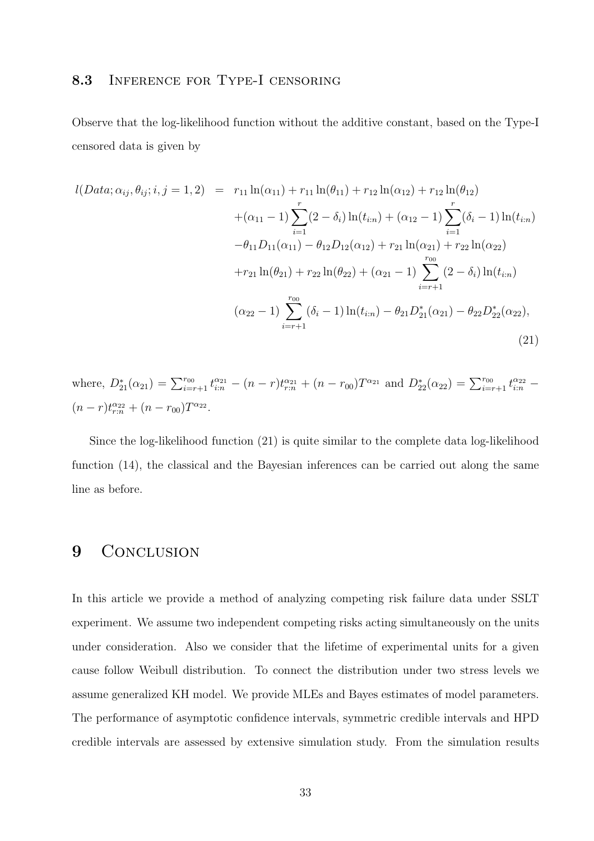#### 8.3 INFERENCE FOR TYPE-I CENSORING

Observe that the log-likelihood function without the additive constant, based on the Type-I censored data is given by

$$
l(Data; \alpha_{ij}, \theta_{ij}; i, j = 1, 2) = r_{11} \ln(\alpha_{11}) + r_{11} \ln(\theta_{11}) + r_{12} \ln(\alpha_{12}) + r_{12} \ln(\theta_{12})
$$
  
+  $(\alpha_{11} - 1) \sum_{i=1}^{r} (2 - \delta_i) \ln(t_{i:n}) + (\alpha_{12} - 1) \sum_{i=1}^{r} (\delta_i - 1) \ln(t_{i:n})$   
-  $\theta_{11} D_{11}(\alpha_{11}) - \theta_{12} D_{12}(\alpha_{12}) + r_{21} \ln(\alpha_{21}) + r_{22} \ln(\alpha_{22})$   
+  $r_{21} \ln(\theta_{21}) + r_{22} \ln(\theta_{22}) + (\alpha_{21} - 1) \sum_{i=r+1}^{r_{00}} (2 - \delta_i) \ln(t_{i:n})$   
 $(\alpha_{22} - 1) \sum_{i=r+1}^{r_{00}} (\delta_i - 1) \ln(t_{i:n}) - \theta_{21} D_{21}^*(\alpha_{21}) - \theta_{22} D_{22}^*(\alpha_{22}),$  (21)

where,  $D_{21}^*(\alpha_{21}) = \sum_{i=r+1}^{r_{00}} t_{i:n}^{\alpha_{21}} - (n-r)t_{r,n}^{\alpha_{21}} + (n-r_{00})T^{\alpha_{21}}$  and  $D_{22}^*(\alpha_{22}) = \sum_{i=r+1}^{r_{00}} t_{i:n}^{\alpha_{22}} (n-r)t_{r:n}^{\alpha_{22}} + (n-r_{00})T^{\alpha_{22}}.$ 

Since the log-likelihood function (21) is quite similar to the complete data log-likelihood function (14), the classical and the Bayesian inferences can be carried out along the same line as before.

# 9 CONCLUSION

In this article we provide a method of analyzing competing risk failure data under SSLT experiment. We assume two independent competing risks acting simultaneously on the units under consideration. Also we consider that the lifetime of experimental units for a given cause follow Weibull distribution. To connect the distribution under two stress levels we assume generalized KH model. We provide MLEs and Bayes estimates of model parameters. The performance of asymptotic confidence intervals, symmetric credible intervals and HPD credible intervals are assessed by extensive simulation study. From the simulation results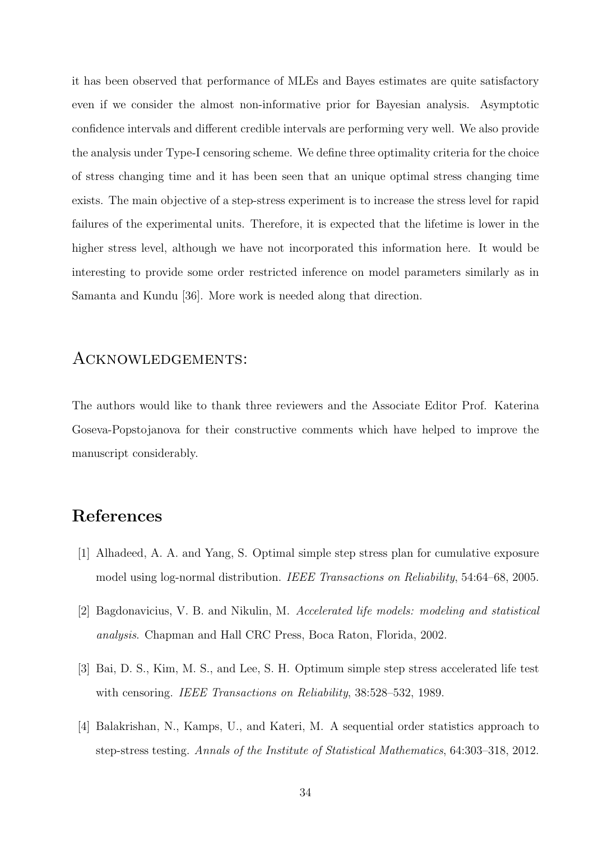it has been observed that performance of MLEs and Bayes estimates are quite satisfactory even if we consider the almost non-informative prior for Bayesian analysis. Asymptotic confidence intervals and different credible intervals are performing very well. We also provide the analysis under Type-I censoring scheme. We define three optimality criteria for the choice of stress changing time and it has been seen that an unique optimal stress changing time exists. The main objective of a step-stress experiment is to increase the stress level for rapid failures of the experimental units. Therefore, it is expected that the lifetime is lower in the higher stress level, although we have not incorporated this information here. It would be interesting to provide some order restricted inference on model parameters similarly as in Samanta and Kundu [36]. More work is needed along that direction.

### Acknowledgements:

The authors would like to thank three reviewers and the Associate Editor Prof. Katerina Goseva-Popstojanova for their constructive comments which have helped to improve the manuscript considerably.

# References

- [1] Alhadeed, A. A. and Yang, S. Optimal simple step stress plan for cumulative exposure model using log-normal distribution. IEEE Transactions on Reliability, 54:64–68, 2005.
- [2] Bagdonavicius, V. B. and Nikulin, M. Accelerated life models: modeling and statistical analysis. Chapman and Hall CRC Press, Boca Raton, Florida, 2002.
- [3] Bai, D. S., Kim, M. S., and Lee, S. H. Optimum simple step stress accelerated life test with censoring. IEEE Transactions on Reliability, 38:528–532, 1989.
- [4] Balakrishan, N., Kamps, U., and Kateri, M. A sequential order statistics approach to step-stress testing. Annals of the Institute of Statistical Mathematics, 64:303–318, 2012.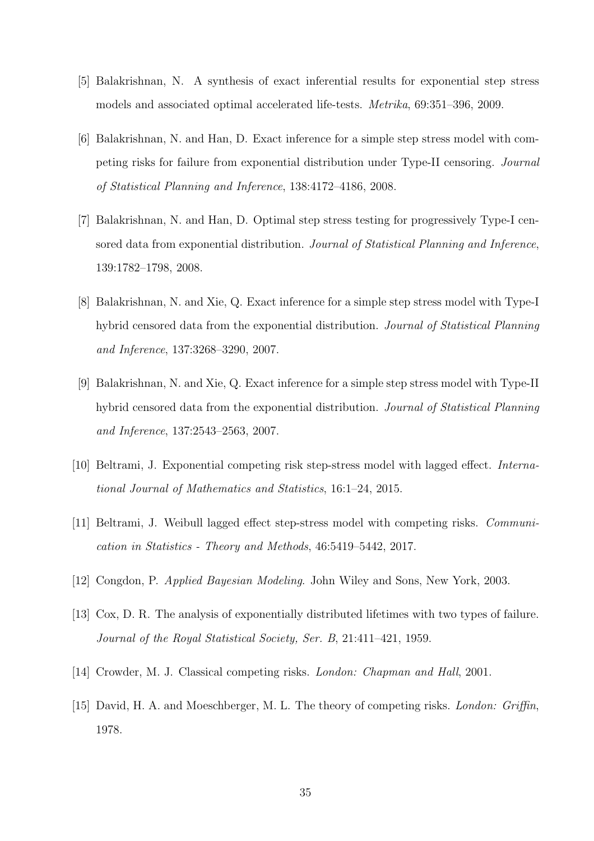- [5] Balakrishnan, N. A synthesis of exact inferential results for exponential step stress models and associated optimal accelerated life-tests. Metrika, 69:351–396, 2009.
- [6] Balakrishnan, N. and Han, D. Exact inference for a simple step stress model with competing risks for failure from exponential distribution under Type-II censoring. Journal of Statistical Planning and Inference, 138:4172–4186, 2008.
- [7] Balakrishnan, N. and Han, D. Optimal step stress testing for progressively Type-I censored data from exponential distribution. Journal of Statistical Planning and Inference, 139:1782–1798, 2008.
- [8] Balakrishnan, N. and Xie, Q. Exact inference for a simple step stress model with Type-I hybrid censored data from the exponential distribution. Journal of Statistical Planning and Inference, 137:3268–3290, 2007.
- [9] Balakrishnan, N. and Xie, Q. Exact inference for a simple step stress model with Type-II hybrid censored data from the exponential distribution. Journal of Statistical Planning and Inference, 137:2543–2563, 2007.
- [10] Beltrami, J. Exponential competing risk step-stress model with lagged effect. International Journal of Mathematics and Statistics, 16:1–24, 2015.
- [11] Beltrami, J. Weibull lagged effect step-stress model with competing risks. Communication in Statistics - Theory and Methods, 46:5419–5442, 2017.
- [12] Congdon, P. Applied Bayesian Modeling. John Wiley and Sons, New York, 2003.
- [13] Cox, D. R. The analysis of exponentially distributed lifetimes with two types of failure. Journal of the Royal Statistical Society, Ser. B, 21:411–421, 1959.
- [14] Crowder, M. J. Classical competing risks. London: Chapman and Hall, 2001.
- [15] David, H. A. and Moeschberger, M. L. The theory of competing risks. London: Griffin, 1978.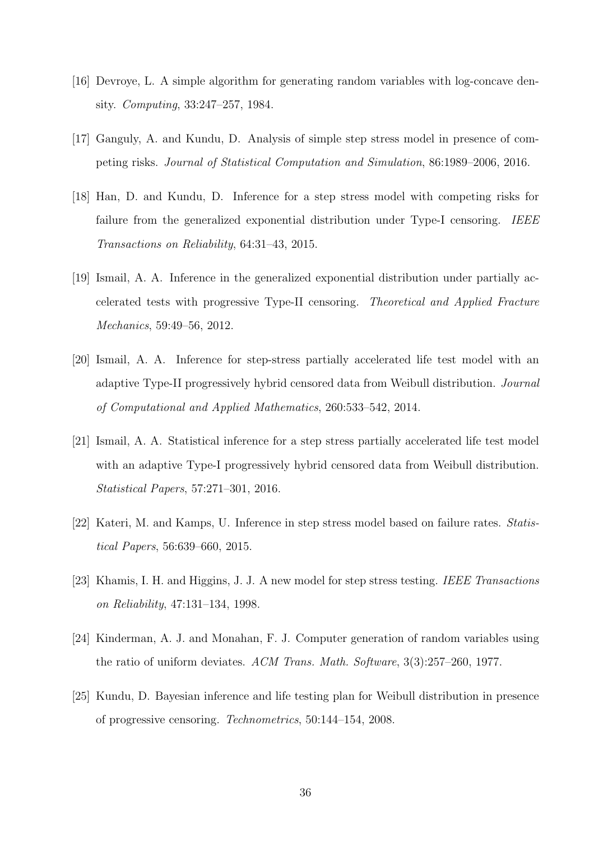- [16] Devroye, L. A simple algorithm for generating random variables with log-concave density. Computing, 33:247–257, 1984.
- [17] Ganguly, A. and Kundu, D. Analysis of simple step stress model in presence of competing risks. Journal of Statistical Computation and Simulation, 86:1989–2006, 2016.
- [18] Han, D. and Kundu, D. Inference for a step stress model with competing risks for failure from the generalized exponential distribution under Type-I censoring. IEEE Transactions on Reliability, 64:31–43, 2015.
- [19] Ismail, A. A. Inference in the generalized exponential distribution under partially accelerated tests with progressive Type-II censoring. Theoretical and Applied Fracture Mechanics, 59:49–56, 2012.
- [20] Ismail, A. A. Inference for step-stress partially accelerated life test model with an adaptive Type-II progressively hybrid censored data from Weibull distribution. Journal of Computational and Applied Mathematics, 260:533–542, 2014.
- [21] Ismail, A. A. Statistical inference for a step stress partially accelerated life test model with an adaptive Type-I progressively hybrid censored data from Weibull distribution. Statistical Papers, 57:271–301, 2016.
- [22] Kateri, M. and Kamps, U. Inference in step stress model based on failure rates. Statistical Papers, 56:639–660, 2015.
- [23] Khamis, I. H. and Higgins, J. J. A new model for step stress testing. IEEE Transactions on Reliability, 47:131–134, 1998.
- [24] Kinderman, A. J. and Monahan, F. J. Computer generation of random variables using the ratio of uniform deviates. ACM Trans. Math. Software, 3(3):257–260, 1977.
- [25] Kundu, D. Bayesian inference and life testing plan for Weibull distribution in presence of progressive censoring. Technometrics, 50:144–154, 2008.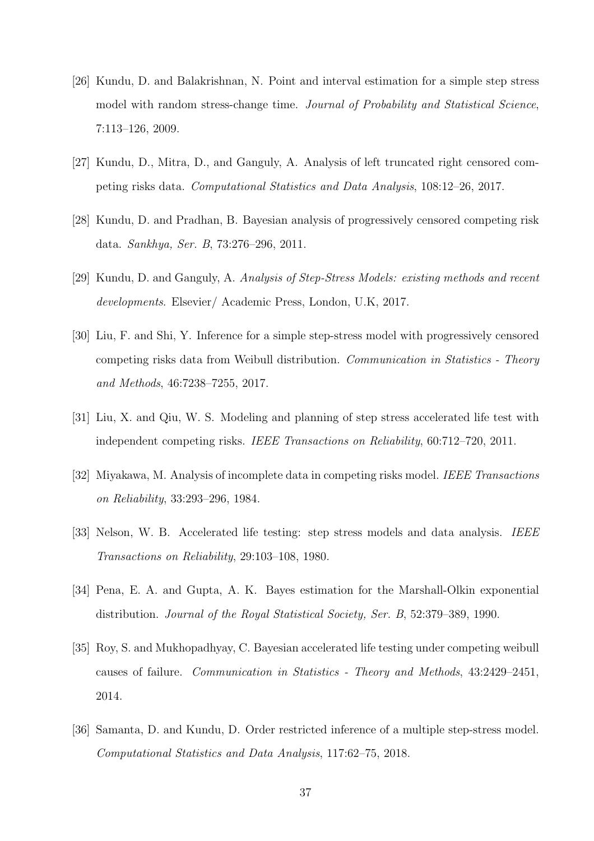- [26] Kundu, D. and Balakrishnan, N. Point and interval estimation for a simple step stress model with random stress-change time. Journal of Probability and Statistical Science, 7:113–126, 2009.
- [27] Kundu, D., Mitra, D., and Ganguly, A. Analysis of left truncated right censored competing risks data. Computational Statistics and Data Analysis, 108:12–26, 2017.
- [28] Kundu, D. and Pradhan, B. Bayesian analysis of progressively censored competing risk data. Sankhya, Ser. B, 73:276–296, 2011.
- [29] Kundu, D. and Ganguly, A. Analysis of Step-Stress Models: existing methods and recent developments. Elsevier/ Academic Press, London, U.K, 2017.
- [30] Liu, F. and Shi, Y. Inference for a simple step-stress model with progressively censored competing risks data from Weibull distribution. Communication in Statistics - Theory and Methods, 46:7238–7255, 2017.
- [31] Liu, X. and Qiu, W. S. Modeling and planning of step stress accelerated life test with independent competing risks. IEEE Transactions on Reliability, 60:712–720, 2011.
- [32] Miyakawa, M. Analysis of incomplete data in competing risks model. IEEE Transactions on Reliability, 33:293–296, 1984.
- [33] Nelson, W. B. Accelerated life testing: step stress models and data analysis. IEEE Transactions on Reliability, 29:103–108, 1980.
- [34] Pena, E. A. and Gupta, A. K. Bayes estimation for the Marshall-Olkin exponential distribution. Journal of the Royal Statistical Society, Ser. B, 52:379–389, 1990.
- [35] Roy, S. and Mukhopadhyay, C. Bayesian accelerated life testing under competing weibull causes of failure. Communication in Statistics - Theory and Methods, 43:2429–2451, 2014.
- [36] Samanta, D. and Kundu, D. Order restricted inference of a multiple step-stress model. Computational Statistics and Data Analysis, 117:62–75, 2018.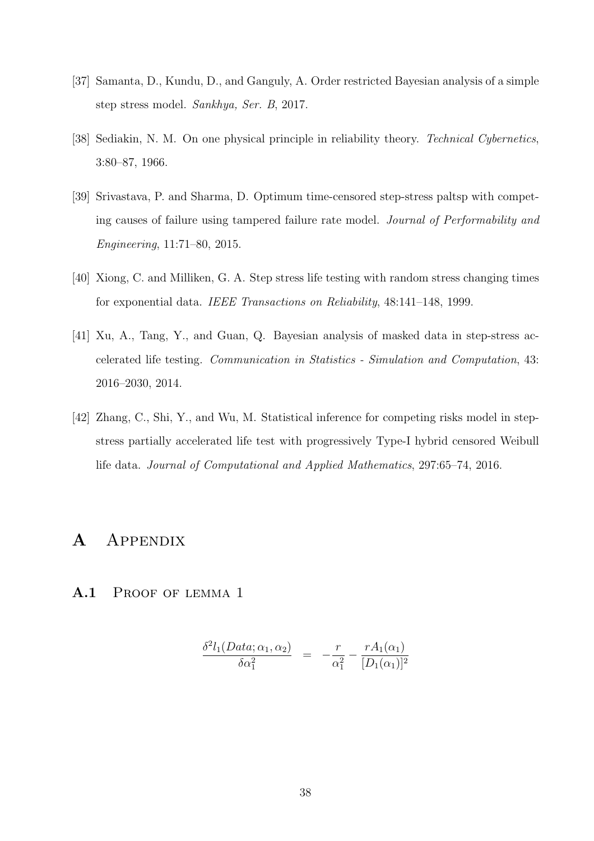- [37] Samanta, D., Kundu, D., and Ganguly, A. Order restricted Bayesian analysis of a simple step stress model. Sankhya, Ser. B, 2017.
- [38] Sediakin, N. M. On one physical principle in reliability theory. Technical Cybernetics, 3:80–87, 1966.
- [39] Srivastava, P. and Sharma, D. Optimum time-censored step-stress paltsp with competing causes of failure using tampered failure rate model. Journal of Performability and Engineering, 11:71–80, 2015.
- [40] Xiong, C. and Milliken, G. A. Step stress life testing with random stress changing times for exponential data. IEEE Transactions on Reliability, 48:141–148, 1999.
- [41] Xu, A., Tang, Y., and Guan, Q. Bayesian analysis of masked data in step-stress accelerated life testing. Communication in Statistics - Simulation and Computation, 43: 2016–2030, 2014.
- [42] Zhang, C., Shi, Y., and Wu, M. Statistical inference for competing risks model in stepstress partially accelerated life test with progressively Type-I hybrid censored Weibull life data. Journal of Computational and Applied Mathematics, 297:65–74, 2016.

# A Appendix

A.1 PROOF OF LEMMA 1

$$
\frac{\delta^2 l_1(Data; \alpha_1, \alpha_2)}{\delta \alpha_1^2} = -\frac{r}{\alpha_1^2} - \frac{r A_1(\alpha_1)}{[D_1(\alpha_1)]^2}
$$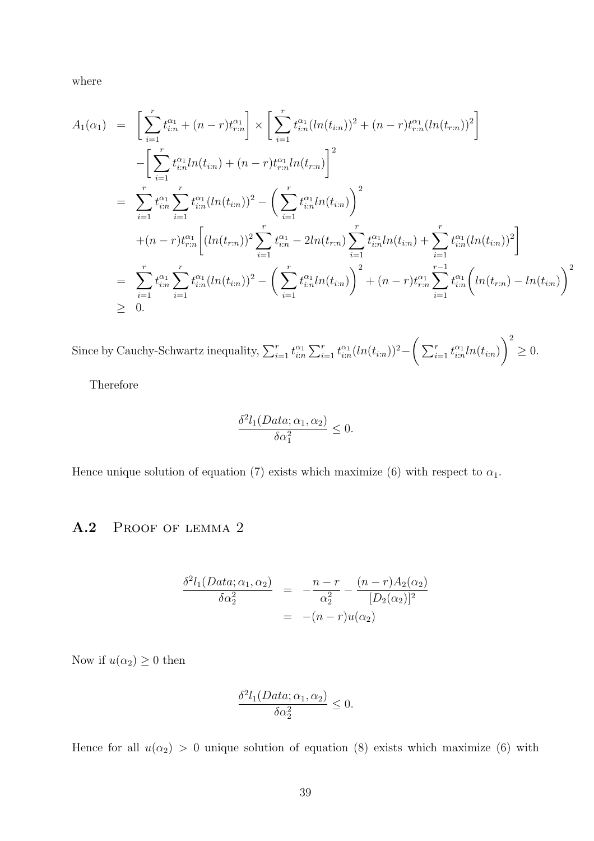where

$$
A_1(\alpha_1) = \left[ \sum_{i=1}^r t_{i:n}^{\alpha_1} + (n-r)t_{r:n}^{\alpha_1} \right] \times \left[ \sum_{i=1}^r t_{i:n}^{\alpha_1} (ln(t_{i:n}))^2 + (n-r)t_{r:n}^{\alpha_1} (ln(t_{r:n}))^2 \right]
$$
  
\n
$$
- \left[ \sum_{i=1}^r t_{i:n}^{\alpha_1} ln(t_{i:n}) + (n-r)t_{r:n}^{\alpha_1} ln(t_{r:n}) \right]^2
$$
  
\n
$$
= \sum_{i=1}^r t_{i:n}^{\alpha_1} \sum_{i=1}^r t_{i:n}^{\alpha_1} (ln(t_{i:n}))^2 - \left( \sum_{i=1}^r t_{i:n}^{\alpha_1} ln(t_{i:n}) \right)^2
$$
  
\n
$$
+ (n-r)t_{r:n}^{\alpha_1} \left[ (ln(t_{r:n}))^2 \sum_{i=1}^r t_{i:n}^{\alpha_1} - 2ln(t_{r:n}) \sum_{i=1}^r t_{i:n}^{\alpha_1} ln(t_{i:n}) + \sum_{i=1}^r t_{i:n}^{\alpha_1} (ln(t_{i:n}))^2 \right]
$$
  
\n
$$
= \sum_{i=1}^r t_{i:n}^{\alpha_1} \sum_{i=1}^r t_{i:n}^{\alpha_1} (ln(t_{i:n}))^2 - \left( \sum_{i=1}^r t_{i:n}^{\alpha_1} ln(t_{i:n}) \right)^2 + (n-r)t_{r:n}^{\alpha_1} \sum_{i=1}^{r-1} t_{i:n}^{\alpha_1} (ln(t_{r:n}) - ln(t_{i:n}))^2
$$
  
\n
$$
\geq 0.
$$

Since by Cauchy-Schwartz inequality,  $\sum_{i=1}^r t_{i:n}^{\alpha_1} \sum_{i=1}^r t_{i:n}^{\alpha_1} (ln(t_{i:n}))^2 - \left( \sum_{i=1}^r t_{i:n}^{\alpha_1} ln(t_{i:n}) \right)$  $\setminus^2$  $\geq 0$ .

Therefore

$$
\frac{\delta^2 l_1(Data; \alpha_1, \alpha_2)}{\delta \alpha_1^2} \le 0.
$$

Hence unique solution of equation (7) exists which maximize (6) with respect to  $\alpha_1$ .

#### A.2 PROOF OF LEMMA 2

$$
\frac{\delta^2 l_1(Data; \alpha_1, \alpha_2)}{\delta \alpha_2^2} = -\frac{n-r}{\alpha_2^2} - \frac{(n-r)A_2(\alpha_2)}{[D_2(\alpha_2)]^2} \n= -(n-r)u(\alpha_2)
$$

Now if  $u(\alpha_2) \geq 0$  then

$$
\frac{\delta^2 l_1(Data; \alpha_1, \alpha_2)}{\delta \alpha_2^2} \le 0.
$$

Hence for all  $u(\alpha_2) > 0$  unique solution of equation (8) exists which maximize (6) with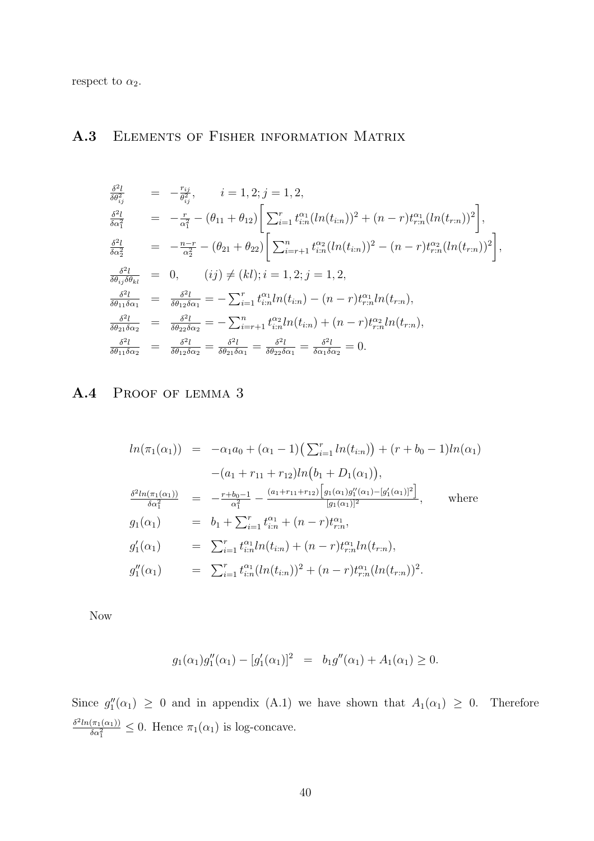respect to  $\alpha_2$ .

#### A.3 Elements of Fisher information Matrix

$$
\frac{\delta^{2}l}{\delta\theta_{ij}^{2}} = -\frac{r_{ij}}{\theta_{ij}^{2}}, \qquad i = 1, 2; j = 1, 2,
$$
\n
$$
\frac{\delta^{2}l}{\delta\alpha_{1}^{2}} = -\frac{r}{\alpha_{1}^{2}} - (\theta_{11} + \theta_{12}) \bigg[ \sum_{i=1}^{r} t_{i:n}^{\alpha_{1}} (ln(t_{i:n}))^{2} + (n-r)t_{r:n}^{\alpha_{1}} (ln(t_{r:n}))^{2} \bigg],
$$
\n
$$
\frac{\delta^{2}l}{\delta\alpha_{2}^{2}} = -\frac{n-r}{\alpha_{2}^{2}} - (\theta_{21} + \theta_{22}) \bigg[ \sum_{i=r+1}^{n} t_{i:n}^{\alpha_{2}} (ln(t_{i:n}))^{2} - (n-r)t_{r:n}^{\alpha_{2}} (ln(t_{r:n}))^{2} \bigg],
$$
\n
$$
\frac{\delta^{2}l}{\delta\theta_{ij}\delta\theta_{kl}} = 0, \qquad (ij) \neq (kl); i = 1, 2; j = 1, 2,
$$
\n
$$
\frac{\delta^{2}l}{\delta\theta_{11}\delta\alpha_{1}} = \frac{\delta^{2}l}{\delta\theta_{12}\delta\alpha_{1}} = -\sum_{i=1}^{r} t_{i:n}^{\alpha_{1}} ln(t_{i:n}) - (n-r)t_{r:n}^{\alpha_{1}} ln(t_{r:n}),
$$
\n
$$
\frac{\delta^{2}l}{\delta\theta_{21}\delta\alpha_{2}} = \frac{\delta^{2}l}{\delta\theta_{22}\delta\alpha_{2}} = -\sum_{i=r+1}^{n} t_{i:n}^{\alpha_{2}} ln(t_{i:n}) + (n-r)t_{r:n}^{\alpha_{2}} ln(t_{r:n}),
$$
\n
$$
\frac{\delta^{2}l}{\delta\theta_{11}\delta\alpha_{2}} = \frac{\delta^{2}l}{\delta\theta_{12}\delta\alpha_{2}} = \frac{\delta^{2}l}{\delta\theta_{21}\delta\alpha_{1}} = \frac{\delta^{2}l}{\delta\theta_{22}\delta\alpha_{1}} = \frac{\delta^{2}l}{\delta\alpha_{1}\delta\alpha_{2}} = 0.
$$

# A.4 Proof of lemma 3

$$
ln(\pi_1(\alpha_1)) = -\alpha_1 a_0 + (\alpha_1 - 1) \left( \sum_{i=1}^r ln(t_{i:n}) \right) + (r + b_0 - 1) ln(\alpha_1)
$$
  
\n
$$
- (a_1 + r_{11} + r_{12}) ln(b_1 + D_1(\alpha_1)),
$$
  
\n
$$
\frac{\delta^2 ln(\pi_1(\alpha_1))}{\delta \alpha_1^2} = -\frac{r + b_0 - 1}{\alpha_1^2} - \frac{(a_1 + r_{11} + r_{12}) \left[ g_1(\alpha_1) g_1''(\alpha_1) - [g_1'(\alpha_1)]^2 \right]}{[g_1(\alpha_1)]^2}, \quad \text{where}
$$
  
\n
$$
g_1(\alpha_1) = b_1 + \sum_{i=1}^r t_{i:n}^{\alpha_1} + (n - r) t_{r:n}^{\alpha_1},
$$
  
\n
$$
g_1'(\alpha_1) = \sum_{i=1}^r t_{i:n}^{\alpha_1} ln(t_{i:n}) + (n - r) t_{r:n}^{\alpha_1} ln(t_{r:n}),
$$
  
\n
$$
g_1''(\alpha_1) = \sum_{i=1}^r t_{i:n}^{\alpha_1} (ln(t_{i:n}))^2 + (n - r) t_{r:n}^{\alpha_1} (ln(t_{r:n}))^2.
$$

Now

$$
g_1(\alpha_1)g_1''(\alpha_1) - [g_1'(\alpha_1)]^2 = b_1g''(\alpha_1) + A_1(\alpha_1) \ge 0.
$$

Since  $g''_1(\alpha_1) \geq 0$  and in appendix (A.1) we have shown that  $A_1(\alpha_1) \geq 0$ . Therefore  $\delta^2 ln(\pi_1(\alpha_1))$  $\frac{(\pi_1(\alpha_1))}{\delta \alpha_1^2} \leq 0$ . Hence  $\pi_1(\alpha_1)$  is log-concave.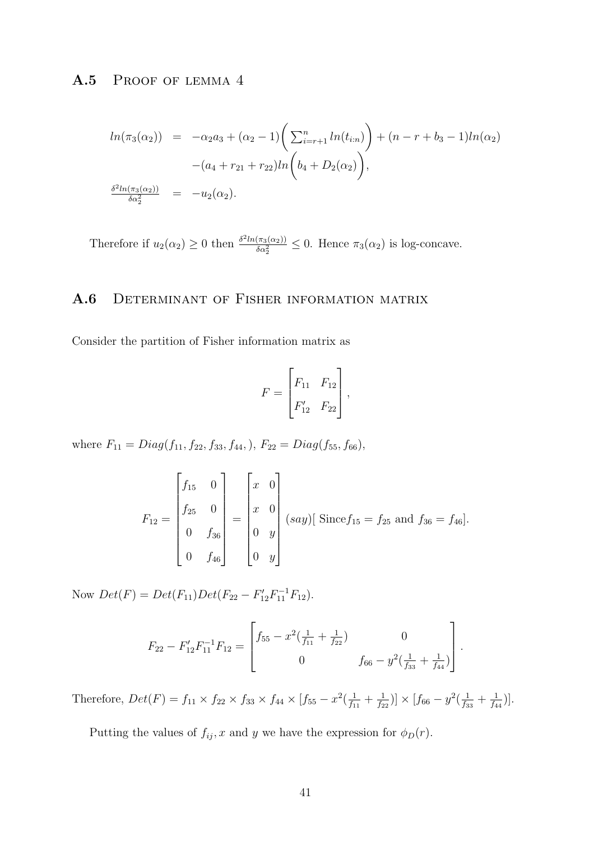#### A.5 PROOF OF LEMMA 4

$$
ln(\pi_3(\alpha_2)) = -\alpha_2 a_3 + (\alpha_2 - 1) \left( \sum_{i=r+1}^n ln(t_{i:n}) \right) + (n - r + b_3 - 1)ln(\alpha_2)
$$
  

$$
-(a_4 + r_{21} + r_{22})ln\left(b_4 + D_2(\alpha_2)\right),
$$
  

$$
\frac{\delta^2 ln(\pi_3(\alpha_2))}{\delta \alpha_2^2} = -u_2(\alpha_2).
$$

Therefore if  $u_2(\alpha_2) \geq 0$  then  $\frac{\delta^2 ln(\pi_3(\alpha_2))}{\delta \alpha_2^2}$  $\frac{(\pi_3(\alpha_2))}{\delta \alpha_2^2} \leq 0$ . Hence  $\pi_3(\alpha_2)$  is log-concave.

### A.6 DETERMINANT OF FISHER INFORMATION MATRIX

Consider the partition of Fisher information matrix as

$$
F = \begin{bmatrix} F_{11} & F_{12} \\ F'_{12} & F_{22} \end{bmatrix},
$$

where  $F_{11} = Diag(f_{11}, f_{22}, f_{33}, f_{44}), F_{22} = Diag(f_{55}, f_{66}),$ 

$$
F_{12} = \begin{bmatrix} f_{15} & 0 \\ f_{25} & 0 \\ 0 & f_{36} \\ 0 & f_{46} \end{bmatrix} = \begin{bmatrix} x & 0 \\ x & 0 \\ 0 & y \\ 0 & y \end{bmatrix} \text{ (say)} \text{ [ Since } f_{15} = f_{25} \text{ and } f_{36} = f_{46} \text{].}
$$

Now  $Det(F) = Det(F_{11})Det(F_{22} - F'_{12}F_{11}^{-1}F_{12}).$ 

$$
F_{22} - F'_{12}F_{11}^{-1}F_{12} = \begin{bmatrix} f_{55} - x^2(\frac{1}{f_{11}} + \frac{1}{f_{22}}) & 0 \\ 0 & f_{66} - y^2(\frac{1}{f_{33}} + \frac{1}{f_{44}}) \end{bmatrix}.
$$

Therefore,  $Det(F) = f_{11} \times f_{22} \times f_{33} \times f_{44} \times [f_{55} - x^2(\frac{1}{f_{1}})]$  $\frac{1}{f_{11}} + \frac{1}{f_2}$  $\frac{1}{f_{22}}$ )]  $\times$  [ $f_{66} - y^2$ ( $\frac{1}{f_3}$  $\frac{1}{f_{33}} + \frac{1}{f_4}$  $\frac{1}{f_{44}}\big)\big].$ 

Putting the values of  $f_{ij}$ , x and y we have the expression for  $\phi_D(r)$ .